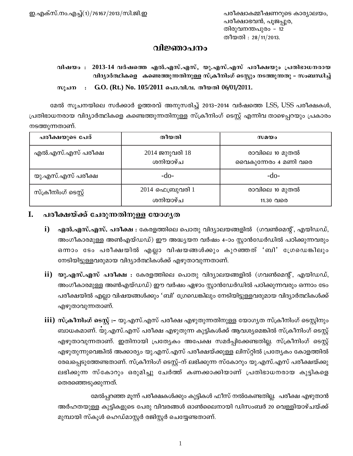# വിജ്ഞാപനം

വിഷയം : 2013-14 വർഷത്തെ എൽ.എസ്.എസ്, യു.എസ്.എസ് പരീക്ഷയും പ്രതിഭാധനരായ വിദ്യാർത്ഥികളെ കണ്ടെത്തുന്നതിനുള്ള സ്ക്രീനിംഗ് ടെസ്റ്റും നടത്തുന്നതു − സംബന്ധിച്ച്

സൂചന : G.O. (Rt.) No. 105/2011 പൊ.വി.വ. തീയതി 06/01/2011.

മേൽ സൂചനയിലെ സർക്കാർ ഉത്തരവ് അനുസരിച്ച് 2013-2014 വർഷത്തെ LSS, USS പരീക്ഷകൾ, പ്രതിഭാധനരായ വിദ്യാർത്ഥികളെ കണ്ടെത്തുന്നതിനുള്ള സ്ക്രീനിംഗ് ടെസ്റ്റ് എന്നിവ താഴെപ്പറയും പ്രകാരം നടത്തുന്നതാണ്.

| പരീക്ഷയുടെ പേര്      | തീയതി                          | സമയം                                   |
|----------------------|--------------------------------|----------------------------------------|
| എൽ.എസ്.എസ് പരീക്ഷ    | 2014 ജനുവരി 18<br>ശനിയാഴ്ച     | രാവിലെ 10 മുതൽ<br>വൈകുന്നേരം 4 മണി വരെ |
| യു.എസ്.എസ് പരീക്ഷ    | $-do-$                         | $-do-$                                 |
| സ്ക്രീനിംഗ് ടെസ്റ്റ് | $2014$ ഫെബ്രുവരി 1<br>ശനിയാഴ്ച | രാവിലെ 10 മുതൽ<br>11.30 വരെ            |

# I. പരീക്ഷയ്ക്ക് ചേരുന്നതിനുള്ള യോഗൃത

- i) എൽ.എസ്.എസ്. പരീക്ഷ : കേരളത്തിലെ പൊതു വിദ്യാലയങ്ങളിൽ (ഗവൺമെന്റ്, എയിഡഡ്, അംഗീകാരമുള്ള അൺഎയ്ഡഡ്) ഈ അദ്ധ്യയന വർഷം 4-ാം സ്റ്റാൻഡേർഡിൽ പഠിക്കുന്നവരും ഒന്നാം ടേം പരീക്ഷയിൽ എല്ലാ വിഷയങ്ങൾക്കും കുറഞ്ഞത് 'ബി' ഗ്രേഡെങ്കിലും നേടിയിട്ടുള്ളവരുമായ വിദ്യാർത്ഥികൾക്ക് എഴുതാവുന്നതാണ്.
- ii) യു**.എസ്.എസ് പരീക്ഷ :** കേരളത്തിലെ പൊതു വിദ്യാലയങ്ങളിൽ (ഗവൺമെന്റ്, എയിഡഡ്, അംഗീകാരമുള്ള അൺഎയ്ഡഡ്) ഈ വർഷം ഏഴാം സ്റ്റാൻഡേർഡിൽ പഠിക്കുന്നവരും ഒന്നാം ടേം പരീക്ഷയിൽ എല്ലാ വിഷയങ്ങൾക്കും 'ബി' ഗ്രേഡെങ്കിലും നേടിയിട്ടുള്ളവരുമായ വിദ്യാർത്ഥികൾക്ക് എഴുതാവുന്നതാണ്.
- iii) സ്**ക്രീനിംഗ് ടെസ്റ്റ് :−** യു.എസ്.എസ് പരീക്ഷ എഴുതുന്നതിനുള്ള യോഗൃത സ്ക്രീനിംഗ് ടെസ്റ്റിനും ബാധകമാണ്. യു.എസ്.എസ് പരീക്ഷ എഴുതുന്ന കുട്ടികൾക്ക് ആവശ്യമെങ്കിൽ സ്ക്രീനിംഗ് ടെസ്റ്റ് എഴുതാവുന്നതാണ്. ഇതിനായി പ്രത്യേകം അപേക്ഷ സമർപ്പിക്കേണ്ടതില്ല. സ്ക്രീനിംഗ് ടെസ്റ്റ് എഴുതുന്നുവെങ്കിൽ അക്കാര്യം യു.എസ്.എസ് പരീക്ഷയ്ക്കുള്ള ലിസ്റ്റിൽ പ്രത്യേകം കോളത്തിൽ രേഖപ്പെടുത്തേണ്ടതാണ്. സ്ക്രീനിംഗ് ടെസ്റ്റ്–ന് ലഭിക്കുന്ന സ്കോറും യു.എസ്.എസ് പരീക്ഷയ്ക്കു ലഭിക്കുന്ന സ്കോറും ഒരുമിച്ചു ചേർത്ത് കണക്കാക്കിയാണ് പ്രതിഭാധനരായ കുട്ടികളെ തെരഞ്ഞെടുക്കുന്നത്.

മേൽപ്പറഞ്ഞ മൂന്ന് പരീക്ഷകൾക്കും കുട്ടികൾ ഫീസ് നൽകേണ്ടതില്ല. പരീക്ഷ എഴുതാൻ അർഹതയുള്ള കുട്ടികളുടെ പേരു വിവരങ്ങൾ ഓൺലൈനായി ഡിസംബർ 20 വെള്ളിയാഴ്ചയ്ക്ക് മുമ്പായി സ്കൂൾ ഹെഡ്മാസ്റ്റർ രജിസ്റ്റർ ചെയ്യേണ്ടതാണ്.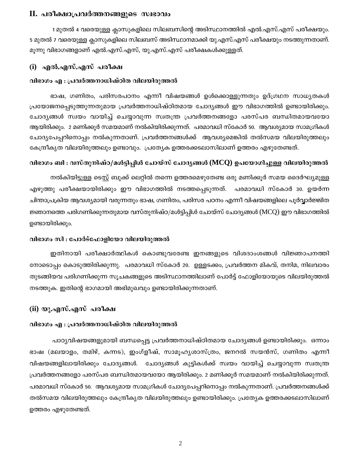#### II. പരീക്ഷാപ്രവർത്തനങ്ങളുടെ സ്വഭാവം

1 മുതൽ 4 വരെയുള്ള ക്ലാസുകളിലെ സിലബസിന്റെ അടിസ്ഥാനത്തിൽ എൽ.എസ്.എസ് പരീക്ഷയും. 5 മുതൽ 7 വരെയുള്ള ക്ലാസുകളിലെ സിലബസ് അടിസ്ഥാനമാക്കി യു.എസ്.എസ് പരീക്ഷയും നടത്തുന്നതാണ്. മൂന്നു വിഭാഗങ്ങളാണ് എൽ.എസ്.എസ്, യു.എസ്.എസ് പരീക്ഷകൾക്കുള്ളത്.

#### (i) എൽ.എസ്.എസ് പരീക്ഷ

#### വിഭാഗം എ : പ്രവർത്തനാധിഷ്ഠിത വിലയിരുത്തൽ

ഭാഷ, ഗണിതം, പരിസരപഠനം എന്നീ വിഷയങ്ങൾ ഉൾക്കൊള്ളുന്നതും ഉദ്ഗ്രഥന സാധൃതകൾ പ്രയോജനപ്പെടുത്തുന്നതുമായ പ്രവർത്തനാധിഷ്ഠിതമായ ചോദ്യങ്ങൾ ഈ വിഭാഗത്തിൽ ഉണ്ടായിരിക്കും. ചോദ്യങ്ങൾ സ്വയം വായിച്ച് ചെയ്യാവുന്ന സ്വതന്ത്ര പ്രവർത്തനങ്ങളോ പരസ്പര ബന്ധിതമായവയോ ആയിരിക്കും. 2 മണിക്കൂർ സമയമാണ് നൽകിയിരിക്കുന്നത്. പരമാവധി സ്കോർ 50. ആവശ്യമായ സാമഗ്രികൾ ചോദ്യപേപ്പറിനൊപ്പം നൽകുന്നതാണ്. പ്രവർത്തനങ്ങൾക്ക് ആവശ്യമെങ്കിൽ തൽസമയ വിലയിരുത്തലും കേന്ദ്രീകൃത വിലയിരുത്തലും ഉണ്ടാവും. പ്രത്യേക ഉത്തരക്കടലാസിലാണ് ഉത്തരം എഴുതേണ്ടത്.

#### വിഭാഗം ബി : വസ്തുനിഷ്ഠ/മൾട്ടിപ്പിൾ ചോയ്സ് ചോദ്യങ്ങൾ (MCQ) ഉപയോഗിച്ചുള്ള വിലയിരുത്തൽ

നൽകിയിട്ടുള്ള ടെസ്റ്റ് ബുക്ക് ലെറ്റിൽ തന്നെ ഉത്തരമെഴുതേണ്ട ഒരു മണിക്കൂർ സമയ ദൈർഘ്യമുള്ള എഴുത്തു പരീക്ഷയായിരിക്കും ഈ വിഭാഗത്തിൽ നടത്തപ്പെടുന്നത്. പരമാവധി സ്കോർ 30. ഉയർന്ന ചിന്താപ്രക്രിയ ആവശ്യമായി വരുന്നതും ഭാഷ, ഗണിതം, പരിസര പഠനം എന്നീ വിഷയങ്ങളിലെ പൂർവ്വാർജ്ജിത ജ്ഞാനത്തെ പരിഗണിക്കുന്നതുമായ വസ്തുനിഷ്ഠ/മൾട്ടിപ്പിൾ ചോയ്സ് ചോദ്യങ്ങൾ (MCQ) ഈ വിഭാഗത്തിൽ ഉണ്ടായിരിക്കും.

#### വിഭാഗം സി : പോർട്ഫോളിയോ വിലയിരുത്തൽ

ഇതിനായി പരീക്ഷാർത്ഥികൾ കൊണ്ടുവരേണ്ട ഇനങ്ങളുടെ വിശദാംശങ്ങൾ വിജ്ഞാപനത്തി നോടൊപ്പം കൊടുത്തിരിക്കുന്നു. പരമാവധി സ്കോർ 20. ഉള്ളടക്കം, പ്രവർത്തന മികവ്, തനിമ, നിലവാരം തുടങ്ങിയവ പരിഗണിക്കുന്ന സൂചകങ്ങളുടെ അടിസ്ഥാനത്തിലാണ് പോർട്ട് ഫോളിയോയുടെ വിലയിരുത്തൽ നടത്തുക. ഇതിന്റെ ഭാഗമായി അഭിമുഖവും ഉണ്ടായിരിക്കുന്നതാണ്.

#### (ii) യു.എസ്.എസ് പരീക്ഷ

#### വിഭാഗം എ : പ്രവർത്തനാധിഷ്ഠിത വിലയിരുത്തൽ

പാഠ്യവിഷയങ്ങളുമായി ബന്ധപ്പെട്ട പ്രവർത്തനാധിഷ്ഠിതമായ ചോദ്യങ്ങൾ ഉണ്ടായിരിക്കും. ഒന്നാം ഭാഷ (മലയാളം, തമിഴ്, കന്നട), ഇംഗ്ളീഷ്, സാമൂഹൃശാസ്ത്രം, ജനറൽ സയൻസ്, ഗണിതം എന്നീ വിഷയങ്ങളിലായിരിക്കും ചോദ്യങ്ങൾ. ചോദ്യങ്ങൾ കുട്ടികൾക്ക് സ്വയം വായിച്ച് ചെയ്യാവുന്ന സ്വതന്ത്ര പ്രവർത്തനങ്ങളോ പരസ്പര ബന്ധിതമായവയോ ആയിരിക്കും. 2 മണിക്കൂർ സമയമാണ് നൽകിയിരിക്കുന്നത്. പരമാവധി സ്കോർ 50. ആവശ്യമായ സാമഗ്രികൾ ചോദ്യപേപ്പറിനൊപ്പം നൽകുന്നതാണ്. പ്രവർത്തനങ്ങൾക്ക് തൽസമയ വിലയിരുത്തലും കേന്ദ്രീകൃത വിലയിരുത്തലും ഉണ്ടായിരിക്കും. പ്രത്യേക ഉത്തരക്കടലാസിലാണ് ഉത്തരം എഴുതേണ്ടത്.

 $\overline{2}$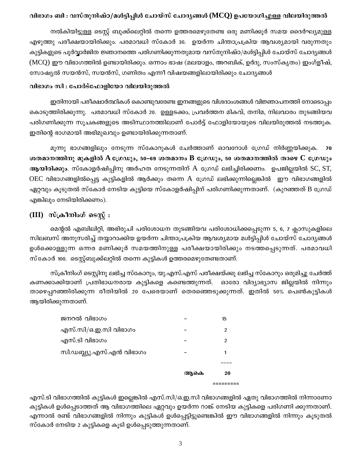### വിഭാഗം ബി : വസ്തുനിഷ്ഠ/മൾട്ടിപ്പിൾ ചോയ്സ് ചോദൃങ്ങൾ (MCQ) ഉപയോഗിച്ചുള്ള വിലയിരുത്തൽ

നൽകിയിട്ടുള്ള ടെസ്റ്റ് ബുക്ക്ലെറ്റിൽ തന്നെ ഉത്തരമെഴുതേണ്ട ഒരു മണിക്കൂർ സമയ ദൈർഘ്യമുള്ള എഴുത്തു പരീക്ഷയായിരിക്കും. പരമാവധി സ്കോർ 30. ഉയർന്ന ചിന്താപ്രക്രിയ ആവശ്യമായി വരുന്നതും കുട്ടികളുടെ പൂർവ്വാർജിത ജ്ഞാനത്തെ പരിഗണിക്കുന്നതുമായ വസ്തുനിഷ്ഠ/മൾട്ടിപ്പിൾ ചോയ്സ് ചോദ്യങ്ങൾ (MCQ) ഈ വിഭാഗത്തിൽ ഉണ്ടായിരിക്കും. ഒന്നാം ഭാഷ (മലയാളം, അറബിക്, ഉർദു, സംസ്കൃതം) ഇംഗ്ളീഷ്, സോഷ്യൽ സയൻസ്, സയൻസ്, ഗണിതം എന്നീ വിഷയങ്ങളിലായിരിക്കും ചോദ്യങ്ങൾ

#### വിഭാഗം സി : പോർട്ഫോളിയോ വിലയിരുത്തൽ

ഇതിനായി പരീക്ഷാർത്ഥികൾ കൊണ്ടുവരേണ്ട ഇനങ്ങളുടെ വിശദാംശങ്ങൾ വിജ്ഞാപനത്തി നോടൊപ്പം കൊടുത്തിരിക്കുന്നു. പരമാവധി സ്കോർ 20. ഉള്ളടക്കം, പ്രവർത്തന മികവ്, തനിമ, നിലവാരം തുടങ്ങിയവ പരിഗണിക്കുന്ന സൂചകങ്ങളുടെ അടിസ്ഥാനത്തിലാണ് പോർട്ട് ഫോളിയോയുടെ വിലയിരുത്തൽ നടത്തുക. ഇതിന്റെ ഭാഗമായി അഭിമുഖവും ഉണ്ടായിരിക്കുന്നതാണ്.

മൂന്നു ഭാഗങ്ങളിലും നേടുന്ന സ്കോറുകൾ ചേർത്താണ് ഓവറോൾ ഗ്രേഡ് നിർണ്ണയിക്കുക. 70 ശതമാനത്തിനു മുകളിൽ A ഗ്രേഡും, 50–69 ശതമാനം B ഗ്രേഡും, 50 ശതമാനത്തിൽ താഴെ C ഗ്രേഡും ആയിരിക്കും. സ്കോളർഷിപ്പിനു അർഹത നേടുന്നതിന് A ഗ്രേഡ് ലഭിച്ചിരിക്കണം. ഉപജില്ലയിൽ SC, ST,  ${\rm OEC}$  വിഭാഗങ്ങളിൽപ്പെട്ട കുട്ടികളിൽ ആർക്കും തന്നെ  ${\rm A}$  ഗ്രേഡ് ലഭിക്കുന്നില്ലെങ്കിൽ ഈ വിഭാഗങ്ങളിൽ ഏറ്റവും കൂടുതൽ സ്കോർ നേടിയ കുട്ടിയെ സ്കോളർഷിപ്പിന് പരിഗണിക്കുന്നതാണ്. (കുറഞ്ഞത് B ഗ്രേഡ് എങ്കിലും നേടിയിരിക്കണം).

# (III) സ്ക്രീനിംഗ് ടെസ്റ്റ് :

മെന്റൽ എബിലിറ്റി, അഭിരുചി പരിശോധന തുടങ്ങിയവ പരിശോധിക്കപ്പെടുന്ന 5, 6, 7 ക്ലാസുകളിലെ സിലബസ് അനുസരിച്ച് തയ്യാറാക്കിയ ഉയർന്ന ചിന്താപ്രക്രിയ ആവശ്യമായ മൾട്ടിപ്പിൾ ചോയ്സ് ചോദ്യങ്ങൾ ഉൾക്കൊള്ളുന്ന ഒന്നര മണിക്കൂർ സമയത്തിനുള്ള പരീക്ഷയായിരിക്കും നടത്തപ്പെടുന്നത്. പരമാവധി സ്കോർ 100. ടെസ്റ്റ്ബുക്ക്ലറ്റിൽ തന്നെ കുട്ടികൾ ഉത്തരമെഴുതേണ്ടതാണ്.

സ്ക്രീനിംഗ് ടെസ്റ്റിനു ലഭിച്ച സ്കോറും, യു.എസ്.എസ് പരീക്ഷയ്ക്കു ലഭിച്ച സ്കോറും ഒരുമിച്ചു ചേർത്ത് കണക്കാക്കിയാണ് പ്രതിഭാധനരായ കുട്ടികളെ കണ്ടെത്തുന്നത്. ഓരോ വിദ്യാഭ്യാസ ജില്ലയിൽ നിന്നും താഴെപ്പറഞ്ഞിരിക്കുന്ന രീതിയിൽ 20 പേരെയാണ് തെരഞ്ഞെടുക്കുന്നത്. ഇതിൽ 50% പെൺകുട്ടികൾ ആയിരിക്കുന്നതാണ്.

|                          | ആകെ | 20 |
|--------------------------|-----|----|
|                          |     |    |
| സി.ഡബ്ല്യു.എസ്.എൻ വിഭാഗം |     | 1  |
| എസ്.ടി വിഭാഗം            |     | 2  |
| എസ്.സി/ഒ.ഇ.സി വിഭാഗം     |     | 2  |
| ജനറൽ വിഭാഗം              |     | 15 |
|                          |     |    |

എസ്.ടി വിഭാഗത്തിൽ കുട്ടികൾ ഇല്ലെങ്കിൽ എസ്.സി/ഒ.ഇ.സി വിഭാഗങ്ങളിൽ ഏതു വിഭാഗത്തിൽ നിന്നാണോ കുട്ടികൾ ഉൾപ്പെടാത്തത് ആ വിഭാഗത്തിലെ ഏറ്റവും ഉയർന്ന റാങ്ക് നേടിയ കുട്ടികളെ പരിഗണി ക്കുന്നതാണ്. എന്നാൽ രണ്ട് വിഭാഗങ്ങളിൽ നിന്നും കുട്ടികൾ ഉൾപ്പെട്ടിട്ടുണ്ടെങ്കിൽ ഈ വിഭാഗങ്ങളിൽ നിന്നും കൂടുതൽ സ്കോർ നേടിയ 2 കുട്ടികളെ കൂടി ഉൾപ്പെടുത്തുന്നതാണ്.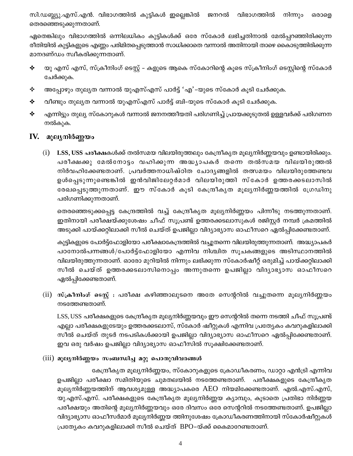സി.ഡബ്ല്യു.എസ്.എൻ. വിഭാഗത്തിൽ കുട്ടികൾ ഇല്ലെങ്കിൽ ജനറൽ വിഭാഗത്തിൽ നിന്നും ഒരാളെ തെരഞ്ഞെടുക്കുന്നതാണ്.

ഏതെങ്കിലും വിഭാഗത്തിൽ ഒന്നിലധികം കുട്ടികൾക്ക് ഒരേ സ്കോർ ലഭിച്ചതിനാൽ മേൽപ്പറഞ്ഞിരിക്കുന്ന രീതിയിൽ കുട്ടികളുടെ എണ്ണം പരിമിതപ്പെടുത്താൻ സാധിക്കാതെ വന്നാൽ അതിനായി താഴെ കൈാടുത്തിരിക്കുന്ന മാനദണ്ഡം സ്വീകരിക്കുന്നതാണ്.

- യു എസ് എസ്, സ്ക്രീനിംഗ് ടെസ്റ്റ് കളുടെ ആകെ സ്കോറിന്റെ കൂടെ സ്ക്രീനിംഗ് ടെസ്റ്റിന്റെ സ്കോർ ♦ ചേർക്കുക.
- അപ്പോഴും തുലൃത വന്നാൽ യുഎസ്എസ് പാർട്ട് 'എ'-യുടെ സ്കോർ കൂടി ചേർക്കുക. ❖
- ✦ വീണ്ടും തുലൃത വന്നാൽ യുഎസ്എസ് പാർട്ട് ബി-യുടെ സ്കോർ കൂടി ചേർക്കുക.
- ✦ എന്നിട്ടും തുല്യ സ്കോറുകൾ വന്നാൽ ജനനത്തീയതി പരിഗണിച്ച് പ്രായക്കൂടുതൽ ഉള്ളവർക്ക് പരിഗണന നൽകുക.

# IV. മൂല്യനിർണ്ണയം

 $(i)$  LSS, USS പരീക്ഷകൾക്ക് തൽസമയ വിലയിരുത്തലും കേന്ദ്രീകൃത മൂല്യനിർണ്ണയവും ഉണ്ടായിരിക്കും. പരീക്ഷക്കു മേൽനോട്ടം വഹിക്കുന്ന അദ്ധ്യാപകർ തന്നെ തൽസമയ വിലയിരുത്തൽ നിർവഹിക്കേണ്ടതാണ്. പ്രവർത്തനാധിഷ്ഠിത ചോദ്യങ്ങളിൽ തത്സമയം വിലയിരുത്തേണ്ടവ ഉൾപ്പെടുന്നുണ്ടെങ്കിൽ ഇൻവിജിലേറ്റർമാർ വിലയിരുത്തി സ്കോർ ഉത്തരക്കടലാസിൽ രേഖപ്പെടുത്തുന്നതാണ്. ഈ സ്കോർ കൂടി കേന്ദ്രീകൃത മൂല്യനിർണ്ണയത്തിൽ ഗ്രേഡിനു പരിഗണിക്കുന്നതാണ്.

തെരഞ്ഞെടുക്കപ്പെട്ട കേന്ദ്രത്തിൽ വച്ച് കേന്ദ്രീകൃത മൂല്യനിർണ്ണയം പിന്നീടു നടത്തുന്നതാണ്. ഇതിനായി പരീക്ഷയ്ക്കുശേഷം ചീഫ് സൂപ്രണ്ട് ഉത്തരക്കടലാസുകൾ രജിസ്റ്റർ നമ്പർ ക്രമത്തിൽ അടുക്കി പായ്ക്കറ്റിലാക്കി സീൽ ചെയ്ത് ഉപജില്ലാ വിദ്യാഭ്യാസ ഓഫീസറെ ഏൽപ്പിക്കേണ്ടതാണ്.

കുട്ടികളുടെ പോർട്ട്ഫോളിയോ പരീക്ഷാകേന്ദ്രത്തിൽ വച്ചുതന്നെ വിലയിരുത്തുന്നതാണ്. അദ്ധ്യാപകർ പഠനോൽപന്നങ്ങൾ/പോർട്ട്ഫോളിയോ എന്നിവ നിശ്ചിത സൂചകങ്ങളുടെ അടിസ്ഥാനത്തിൽ വിലയിരുത്തുന്നതാണ്. ഓരോ മുറിയിൽ നിന്നും ലഭിക്കുന്ന സ്കോർഷീറ്റ് ഒരുമിച്ച് പായ്ക്കറ്റിലാക്കി സീൽ ചെയ്ത് ഉത്തരക്കടലാസിനൊപ്പം അന്നുതന്നെ ഉപജില്ലാ വിദ്യാഭ്യാസ ഓഫീസറെ ഏൽപ്പിക്കേണ്ടതാണ്.

(ii) സ്ക്രീനിംഗ് ടെസ്റ്റ് : പരീക്ഷ കഴിഞ്ഞാലുടനെ അതേ സെന്ററിൽ വച്ചുതന്നെ മൂല്യനിർണ്ണയം നടത്തേണ്ടതാണ്.

LSS, USS പരീക്ഷകളുടെ കേന്ദ്രീകൃത മൂല്യനിർണ്ണയവും ഈ സെന്ററിൽ തന്നെ നടത്തി ചീഫ് സൂപ്രണ്ട് എല്ലാ പരീക്ഷകളുടേയും ഉത്തരക്കടലാസ്, സ്കോർ ഷീറ്റുകൾ എന്നിവ പ്രത്യേകം കവറുകളിലാക്കി സീൽ ചെയ്ത് തുടർ നടപടികൾക്കായി ഉപജില്ലാ വിദ്യാഭ്യാസ ഓഫീസറെ ഏൽപ്പിക്കേണ്ടതാണ്. ഇവ ഒരു വർഷം ഉപജില്ലാ വിദ്യാഭ്യാസ ഓഫീസിൽ സൂക്ഷിക്കേണ്ടതാണ്.

### (iii) മൂല്യനിർണ്ണയം സംബന്ധിച്ച മറ്റു പൊതുവിവരങ്ങൾ

കേന്ദ്രീകൃത മൂല്യനിർണ്ണയം, സ്കോറുകളുടെ ക്രോഡീകരണം, ഡാറ്റാ എൻട്രി എന്നിവ ഉപജില്ലാ പരീക്ഷാ സമിതിയുടെ ചുമതലയിൽ നടത്തേണ്ടതാണ്. പരീക്ഷകളുടെ കേന്ദ്രീകൃത മൂല്യനിർണ്ണയത്തിന് ആവശ്യമുള്ള അദ്ധ്യാപകരെ AEO നിയമിക്കേണ്ടതാണ്. എൽ.എസ്.എസ്, യു.എസ്.എസ്. പരീക്ഷകളുടെ കേന്ദ്രീകൃത മൂല്യനിർണ്ണയ ക്യാമ്പും, കൂടാതെ പ്രതിഭാ നിർണ്ണയ പരീക്ഷയും അതിന്റെ മൂല്യനിർണ്ണയവും ഒരേ ദിവസം ഒരേ സെന്ററിൽ നടത്തേണ്ടതാണ്. ഉപജില്ലാ വിദ്യാഭ്യാസ ഓഫീസർമാർ മൂല്യനിർണ്ണയ ത്തിനുശേഷം ക്രോഡീകരണത്തിനായി സ്കോർഷീറ്റുകൾ പ്രത്യേകം കവറുകളിലാക്കി സീൽ ചെയ്ത് BPO-യ്ക്ക് കൈമാറേണ്ടതാണ്.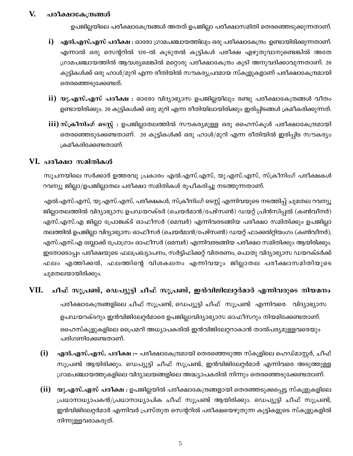#### V. പരീക്ഷാകേന്ദ്രങ്ങൾ

ഉപജില്ലയിലെ പരീക്ഷാകേന്ദ്രങ്ങൾ അതത് ഉപജില്ലാ പരീക്ഷാസമിതി തെരഞ്ഞെടുക്കുന്നതാണ്.

- ${\bf i})$  എൽ.എസ്.എസ് പരീക്ഷ : ഓരോ ഗ്രാമപഞ്ചായത്തിലും ഒരു പരീക്ഷാകേന്ദ്രം ഉണ്ടായിരിക്കുന്നതാണ്. എന്നാൽ ഒരു സെന്ററിൽ 120–ൽ കൂടുതൽ കുട്ടികൾ പരീക്ഷ എഴുതുവാനുണ്ടെങ്കിൽ അതേ ഗ്രാമപഞ്ചായത്തിൽ ആവശ്യമെങ്കിൽ മറ്റൊരു പരീക്ഷാകേന്ദ്രം കൂടി അനുവദിക്കാവുന്നതാണ്. 20 കുട്ടികൾക്ക് ഒരു ഹാൾ/മുറി എന്ന രീതിയിൽ സൗകര്യപ്രദമായ സ്കൂളുകളാണ് പരീക്ഷാകേന്ദ്രമായി തെരഞ്ഞെടുക്കേണ്ടത്.
- $\mathbf{ii})$  യു.എസ്.എസ് പരീക്ഷ : ഓരോ വിദ്യാഭ്യാസ ഉപജില്ലയിലും രണ്ടു പരീക്ഷാകേന്ദ്രങ്ങൾ വീതം ഉണ്ടായിരിക്കും. 20 കുട്ടികൾക്ക് ഒരു മുറി എന്ന രീതിയിലായിരിക്കും ഇരിപ്പിടങ്ങൾ ക്രമീകരിക്കുന്നത്.
- iii) സ്ക്രീനിംഗ് ടെസ്റ്റ് : ഉപജില്ലാതലത്തിൽ സൗകര്യമുള്ള ഒരു ഹൈസ്കൂൾ പരീക്ഷാകേന്ദ്രമായി തെരഞ്ഞെടുക്കേണ്ടതാണ്. 20 കുട്ടികൾക്ക് ഒരു ഹാൾ/മുറി എന്ന രീതിയിൽ ഇരിപ്പിട സൗകര്യം ക്രമീകരിക്കേണ്ടതാണ്.

#### VI. പരീക്ഷാ സമിതികൾ

സൂചനയിലെ സർക്കാർ ഉത്തരവു പ്രകാരം എൽ.എസ്.എസ്, യു.എസ്.എസ്, സ്ക്രീനിംഗ് പരീക്ഷകൾ റവന്യൂ ജില്ലാ/ഉപജില്ലാതല പരീക്ഷാ സമിതികൾ രൂപീകരിച്ചു നടത്തുന്നതാണ്.

എൽ.എസ്.എസ്, യു.എസ്.എസ്, പരീക്ഷകൾ, സ്ക്രീനിംഗ് ടെസ്റ്റ് എന്നിവയുടെ നടത്തിപ്പ് ചുമതല റവന്യൂ ജില്ലാതലത്തിൽ വിദ്യാഭ്യാസ ഉപഡയറക്ടർ (ചെയർമാൻ/പേഴ്സൺ) ഡയറ്റ് പ്രിൻസിപ്പൽ (കൺവീനർ) എസ്.എസ്.എ ജില്ലാ പ്രോജക്ട് ഓഫീസർ (മെമ്പർ) എന്നിവരടങ്ങിയ പരീക്ഷാ സമിതിക്കും ഉപജില്ലാ തലത്തിൽ ഉപജില്ലാ വിദ്യാഭ്യാസ ഓഫീസർ (ചെയർമാൻ/പേഴ്സൺ) ഡയറ്റ് ഫാക്കൽറ്റിയംഗം (കൺവീനർ), എസ്.എസ്.എ ബ്ലോക്ക് പ്രോഗ്രാം ഓഫീസർ (മെമ്പർ) എന്നിവരടങ്ങിയ പരീക്ഷാ സമിതിക്കും ആയിരിക്കും. ഇതോടൊപ്പം പരീക്ഷയുടെ ഫലപ്രഖ്യാപനം, സർട്ടിഫിക്കറ്റ് വിതരണം, പൊതു വിദ്യാഭ്യാസ ഡയറക്ടർക്ക് ഫലം എത്തിക്കൽ, ഫലത്തിന്റെ വിശകലനം എന്നിവയും ജില്ലാതല പരീക്ഷാസമിതിയുടെ ചുമതലയായിരിക്കും.

#### VII. ചീഫ് സൂപ്രണ്ട്, ഡെപ്യൂട്ടി ചീഫ് സൂപ്രണ്ട്, ഇൻവിജിലേറ്റർമാർ എന്നിവരുടെ നിയമനം

പരീക്ഷാകേന്ദ്രങ്ങളിലെ ചീഫ് സൂപ്രണ്ട്, ഡെപ്യൂട്ടി ചീഫ് സൂപ്രണ്ട് എന്നിവരെ വിദ്യാഭ്യാസ ഉപഡയറക്ടറും ഇൻവിജിലേറ്റർമാരെ ഉപജില്ലാവിദ്യാഭ്യാസ ഓഫീസറും നിയമിക്കേണ്ടതാണ്. ഹൈസ്കൂളുകളിലെ പ്രൈമറി അധ്യാപകരിൽ ഇൻവിജിലേറ്ററാകാൻ താൽപര്യമുള്ളവരെയും പരിഗണിക്കേണ്ടതാണ്.

- $(i)$ **എൽ.എസ്.എസ്. പരീക്ഷ :-** പരീക്ഷാകേന്ദ്രമായി തെരഞ്ഞെടുത്ത സ്കൂളിലെ ഹെഡ്മാസ്റ്റർ, ചീഫ് സൂപ്രണ്ട് ആയിരിക്കും. ഡെപ്യൂട്ടി ചീഫ് സൂപ്രണ്ട്, ഇൻവിജിലേറ്റർമാർ എന്നിവരെ അടുത്തുള്ള ഗ്രാമപഞ്ചായത്തുകളിലെ വിദ്യാലയങ്ങളിലെ അദ്ധ്യാപകരിൽ നിന്നും തെരഞ്ഞെടുക്കേണ്ടതാണ്.
- (ii) യു.എസ്.എസ് പരീക്ഷ : ഉപജില്ലയിൽ പരീക്ഷാകേന്ദ്രങ്ങളായി തെരഞ്ഞടുക്കപ്പെട്ട സ്കൂളുകളിലെ പ്രധാനാധ്യാപകൻ/പ്രധാനാധ്യാപിക ചീഫ് സൂപ്രണ്ട് ആയിരിക്കും. ഡെപ്യൂട്ടി ചീഫ് സൂപ്രണ്ട്, ഇൻവിജിലേറ്റർമാർ എന്നിവർ പ്രസ്തുത സെന്ററിൽ പരീക്ഷയെഴുതുന്ന കുട്ടികളുടെ സ്കൂളുകളിൽ നിന്നുള്ളവരാകരുത്.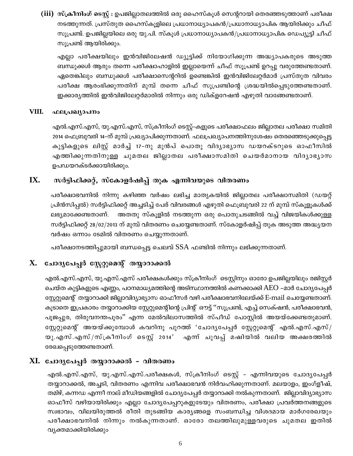(iii) സ്ക്രീനിംഗ് ടെസ്റ്റ് : ഉപജില്ലാതലത്തിൽ ഒരു ഹൈസ്കൂൾ സെന്ററായി തെരഞ്ഞടുത്താണ് പരീക്ഷ നടത്തുന്നത്. പ്രസ്തുത ഹൈസ്കൂളിലെ പ്രധാനാധ്യാപകൻ/പ്രധാനാധ്യാപിക ആയിരിക്കും ചീഫ് സൂപ്രണ്ട്. ഉപജില്ലയിലെ ഒരു യു.പി. സ്കൂൾ പ്രധാനാധ്യാപകൻ/പ്രധാനാധ്യാപിക ഡെപ്യൂട്ടി ചീഫ് സുപ്രണ്ട് ആയിരിക്കും.

എല്ലാ പരീക്ഷയിലും ഇൻവിജിലേഷൻ ഡ്യൂട്ടിക്ക് നിയോഗിക്കുന്ന അദ്ധ്യാപകരുടെ അടുത്ത ബന്ധുക്കൾ ആരും തന്നെ പരീക്ഷാഹാളിൽ ഇല്ലായെന്ന് ചീഫ് സൂപ്രണ്ട് ഉറപ്പു വരുത്തേണ്ടതാണ്. ഏതെങ്കിലും ബന്ധുക്കൾ പരീക്ഷാസെന്ററിൽ ഉണ്ടെങ്കിൽ ഇൻവിജിലേറ്റർമാർ പ്രസ്തുത വിവരം പരീക്ഷ ആരംഭിക്കുന്നതിന് മുമ്പ് തന്നെ ചീഫ് സൂപ്രണ്ടിന്റെ ശ്രദ്ധയിൽപ്പെടുത്തേണ്ടതാണ്. ഇക്കാര്യത്തിൽ ഇൻവിജിലേറ്റർമാരിൽ നിന്നും ഒരു ഡിക്ളറേഷൻ എഴുതി വാങ്ങേണ്ടതാണ്.

#### VIII. ഫലപ്രഖ്യാപനം

എൽ.എസ്.എസ്, യു.എസ്.എസ്, സ്ക്രീനിംഗ് ടെസ്റ്റ്–കളുടെ പരീക്ഷാഫലം ജില്ലാതല പരീക്ഷാ സമിതി 2014 ഫെബ്രുവരി 14–ന് മുമ്പ് പ്രഖ്യാപിക്കുന്നതാണ്. ഫലപ്രഖ്യാപനത്തിനുശേഷം തെരഞ്ഞെടുക്കുപ്പെട്ട കുട്ടികളുടെ ലിസ്റ്റ് മാർച്ച് 17-നു മുൻപ് പൊതു വിദ്യാഭ്യാസ ഡയറക്ടറുടെ ഓഫീസിൽ എത്തിക്കുന്നതിനുള്ള ചുമതല ജില്ലാതല പരീക്ഷാസമിതി ചെയർമാനായ വിദ്യാഭ്യാസ ഉപഡയറക്ടർക്കായിരിക്കും.

#### IX. സർട്ടിഫിക്കറ്റ്, സ്കോളർഷിപ്പ് തുക എന്നിവയുടെ വിതരണം

പരീക്ഷാഭവനിൽ നിന്നു കഴിഞ്ഞ വർഷം ലഭിച്ച മാതൃകയിൽ ജില്ലാതല പരീക്ഷാസമിതി (ഡയറ്റ് പ്രിൻസിപ്പൽ) സർട്ടിഫിക്കറ്റ് അച്ചടിച്ച് പേര് വിവരങ്ങൾ എഴുതി ഫെബ്രുവരി 22 ന് മുമ്പ് സ്കൂളൂകൾക്ക് ലഭ്യമാക്കേണ്ടതാണ്. അതതു സ്കൂളിൽ നടത്തുന്ന ഒരു പൊതുചടങ്ങിൽ വച്ച് വിജയികൾക്കുള്ള സർട്ടിഫിക്കറ്റ് 28/02/2013 ന് മുമ്പ് വിതരണം ചെയ്യേണ്ടതാണ്. സ്കോളർഷിപ്പ് തുക അടുത്ത അദ്ധ്യയന വർഷം ഒന്നാം ടേമിൽ വിതരണം ചെയ്യുന്നതാണ്.

പരീക്ഷാനടത്തിപ്പുമായി ബന്ധപ്പെട്ട ചെലവ് SSA ഫണ്ടിൽ നിന്നും ലഭിക്കുന്നതാണ്.

# $X$ . ചോദൃപേപ്പർ സ്റ്റേറ്റാമന്റ് തയ്യാറാക്കൽ

എൽ.എസ്.എസ്, യു.എസ്.എസ് പരീക്ഷകൾക്കും സ്ക്രീനിംഗ് ടെസ്റ്റിനും ഓരോ ഉപജില്ലയിലും രജിസ്റ്റർ ചെയ്ത കുട്ടികളുടെ എണ്ണം, പഠനമാധ്യമത്തിന്റെ അടിസ്ഥാനത്തിൽ കണക്കാക്കി AEO –മാർ ചോദ്യപേപ്പർ സ്റ്റേറ്റുമെന്റ് തയ്യാറാക്കി ജില്ലാവിദ്യാഭ്യാസ ഓഫീസർ വഴി പരീക്ഷാഭവനിലേയ്ക്ക് E-mail ചെയ്യേണ്ടതാണ്. കൂടാതെ ഇപ്രകാരം തയ്യാറാക്കിയ സ്റ്റേറ്റുമെന്റിന്റെ പ്രിന്റ് ഔട്ട് ''സൂപ്രണ്ട്, എച്ച് സെക്ഷൻ, പരീക്ഷാഭവൻ, പൂജപ്പുര, തിരുവനന്തപുരം'' എന്ന മേൽവിലാസത്തിൽ സ്പീഡ് പോസ്റ്റിൽ അയയ്ക്കേണ്ടതുമാണ്. സ്റ്റേറ്റുമെന്റ് അയയ്ക്കുമ്പോൾ കവറിനു പുറത്ത് 'ചോദൃപേപ്പർ സ്റ്റേറ്റുമെന്റ് എൽ.എസ്.എസ്/ യു.എസ്.എസ്/സ്ക്രീനിംഗ് ടെസ്റ്റ് 2014' എന്ന് ചുവപ്പ് മഷിയിൽ വലിയ അക്ഷരത്തിൽ രേഖപ്പെടുത്തേണ്ടതാണ്.

### XI. ചോദൃപേപ്പർ തയ്യാറാക്കൽ - വിതരണം

എൽ.എസ്.എസ്, യു.എസ്.എസ്.പരീക്ഷകൾ, സ്ക്രീനിംഗ് ടെസ്റ്റ് – എന്നിവയുടെ ചോദൃപേപ്പർ തയ്യാറാക്കൽ, അച്ചടി, വിതരണം എന്നിവ പരീക്ഷാഭവൻ നിർവഹിക്കുന്നതാണ്. മലയാളം, ഇംഗ്ളീഷ്, തമിഴ്, കന്നഡ എന്നീ നാല് മീഡിയങ്ങളിൽ ചോദ്യപേപ്പർ തയ്യാറാക്കി നൽകുന്നതാണ്. ജില്ലാവിദ്യാഭ്യാസ ഓഫീസ് വഴിയായിരിക്കും എല്ലാ ചോദ്യപേപ്പറുകളുടേയും വിതരണം, പരീക്ഷാ പ്രവർത്തനങ്ങളുടെ സ്വഭാവം, വിലയിരുത്തൽ രീതി തുടങ്ങിയ കാര്യങ്ങളെ സംബന്ധിച്ച വിശദമായ മാർഗരേഖയും പരീക്ഷാഭവനിൽ നിന്നും നൽകുന്നതാണ്. ഓരോ തലത്തിലുമുള്ളവരുടെ ചുമതല ഇതിൽ വ്യക്തമാക്കിയിരിക്കും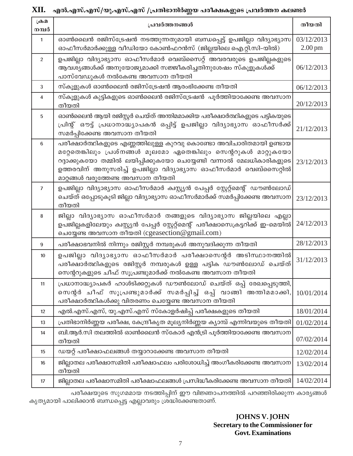# XII. എൽ.എസ്.എസ്/യു.എസ്.എസ് /പ്രതിഭാനിർണ്ണയ പരീക്ഷകളുടെ പ്രവർത്തന കലണ്ടർ

| $\mathcal{L}\rightarrow\mathcal{L}$<br>നമ്പർ | പ്രവർത്തനങ്ങൾ                                                                                                                                                                                                                                                                                                   | തീയതി                           |
|----------------------------------------------|-----------------------------------------------------------------------------------------------------------------------------------------------------------------------------------------------------------------------------------------------------------------------------------------------------------------|---------------------------------|
| $\mathbf{1}$                                 | ഓൺലൈൻ രജിസ്ട്രേഷൻ നടത്തുന്നതുമായി ബന്ധപ്പെട്ട് ഉപജില്ലാ വിദ്യാഭ്യാസ<br>ഓഫീസർമാർക്കുള്ള വീഡിയോ കോൺഫറൻസ് (ജില്ലയിലെ ഐ.റ്റി.സി-യിൽ)                                                                                                                                                                                | 03/12/2013<br>$2.00 \text{ pm}$ |
| $\overline{2}$                               | ഉപജില്ലാ വിദ്യാഭ്യാസ ഓഫീസർമാർ വെബ്സൈറ്റ് അവരവരുടെ ഉപജില്ലകളുടെ<br>ആവശ്യങ്ങൾക്ക് അനുയോജ്യമാക്കി സജ്ജീകരിച്ചതിനുശേഷം സ്കൂളൂകൾക്ക്<br>പാസ്വേഡുകൾ നൽകേണ്ട അവസാന തീയതി                                                                                                                                               | 06/12/2013                      |
| 3                                            | സ്കൂളുകൾ ഓൺലൈൻ രജിസ്ട്രേഷൻ ആരംഭിക്കേണ്ട തീയതി                                                                                                                                                                                                                                                                   | 06/12/2013                      |
| 4                                            | സ്കൂളുകൾ കുട്ടികളുടെ ഓൺലൈൻ രജിസ്ട്രേഷൻ  പൂർത്തിയാക്കേണ്ട അവസാന<br>തീയതി                                                                                                                                                                                                                                         | 20/12/2013                      |
| 5                                            | ഓൺലൈൻ ആയി രജിസ്റ്റർ ചെയ്ത് അന്തിമമാക്കിയ പരീക്ഷാർത്ഥികളുടെ പട്ടികയുടെ<br>പ്രിന്റ് ഔട്ട് പ്രധാനാദ്ധ്യാപകൻ ഒപ്പിട്ട് ഉപജില്ലാ വിദ്യാഭ്യാസ ഓഫീസർക്ക്<br>സമർപ്പിക്കേണ്ട അവസാന തീയതി                                                                                                                                 | 21/12/2013                      |
| 6                                            | പരീക്ഷാർത്ഥികളുടെ എണ്ണത്തിലുള്ള കുറവു കൊണ്ടോ അവിചാരിതമായി ഉണ്ടായ<br>മറ്റേതെങ്കിലും പ്രശ്നങ്ങൾ മൂലമോ ഏതെങ്കിലും സെന്ററുകൾ മാറ്റുകയോ<br>റദ്ദാക്കുകയോ തമ്മിൽ ലയിപ്പിക്കുകയോ ചെയ്യേണ്ടി വന്നാൽ മേലധികാരികളുടെ<br>ഉത്തരവിന് അനുസരിച്ച് ഉപജില്ലാ വിദ്യാഭ്യാസ ഓഫീസർമാർ വെബ്സൈറ്റിൽ<br>മാറ്റങ്ങൾ വരുത്തേണ്ട അവസാന തീയതി | 23/12/2013                      |
| $\overline{7}$                               | ഉപജില്ലാ വിദ്യാഭ്യാസ ഓഫീസർമാർ ക്വസ്റ്റ്യൻ പേപ്പർ സ്റ്റേറ്റ്മെന്റ് ഡൗൺലോഡ്<br>ചെയ്ത് ഒപ്പോടുകൂടി ജില്ലാ വിദ്യാഭ്യാസ ഓഫീസർമാർക്ക് സമർപ്പിക്കേണ്ട അവസാന<br>തീയതി                                                                                                                                                   | 23/12/2013                      |
| 8                                            | ജില്ലാ വിദ്യാഭ്യാസ ഓഫീസർമാർ തങ്ങളുടെ വിദ്യാഭ്യാസ ജില്ലയിലെ എല്ലാ<br>ഉപജില്ലകളിലേയും ക്വസ്റ്റ്യൻ പേപ്പർ സ്റ്റേറ്റ്മെന്റ് പരീക്ഷാസെക്രട്ടറിക്ക് ഇ-മെയിൽ<br>ചെയ്യേണ്ട അവസാന തീയതി (cgeasection@gmail.com)                                                                                                          | 24/12/2013                      |
| 9                                            | പരീക്ഷാഭവനിൽ നിന്നും രജിസ്റ്റർ നമ്പരുകൾ അനുവദിക്കുന്ന തീയതി                                                                                                                                                                                                                                                     | 28/12/2013                      |
| 10                                           | ഉപജില്ലാ വിദ്യാഭ്യാസ ഓഫീസർമാർ പരീക്ഷാസെന്റർ അടിസ്ഥാനത്തിൽ<br>പരീക്ഷാർത്ഥികളുടെ രജിസ്റ്റർ നമ്പരുകൾ ഉള്ള പട്ടിക ഡൗൺലോഡ് ചെയ്ത്<br>സെന്ററുകളുടെ ചീഫ് സൂപ്രണ്ടുമാർക്ക് നൽകേണ്ട അവസാന തീയതി                                                                                                                          | 31/12/2013                      |
| 11                                           | പ്രധാനാദ്ധ്യാപകർ ഹാൾടിക്കറ്റുകൾ ഡൗൺലോഡ് ചെയ്ത് ഒപ്പ് രേഖപ്പെടുത്തി,<br>സെന്റർ ചീഫ് സൂപ്രണ്ടുമാർക്ക് സമർപ്പിച്ച് ഒപ്പ് വാങ്ങി അന്തിമമാക്കി,<br>പരീക്ഷാർത്ഥികൾക്കു വിതരണം ചെയ്യേണ്ട അവസാന തീയതി                                                                                                                   | 10/01/2014                      |
| 12                                           | എൽ.എസ്.എസ്, യു.എസ്.എസ് സ്കോളർഷിപ്പ് പരീക്ഷകളുടെ തീയതി                                                                                                                                                                                                                                                           | 18/01/2014                      |
| 13                                           | പ്രതിഭാനിർണ്ണയ പരീക്ഷ, കേന്ദ്രീകൃത മൂല്യനിർണ്ണയ ക്യാമ്പ് എന്നിവയുടെ തീയതി                                                                                                                                                                                                                                       | 01/02/2014                      |
| 14                                           | ബി.ആർ.സി തലത്തിൽ ഓൺലൈൻ സ്കോർ എൻട്രി പൂർത്തിയാക്കേണ്ട അവസാന<br>തീയതി                                                                                                                                                                                                                                             | 07/02/2014                      |
| 15                                           | ഡയറ്റ് പരീക്ഷാഫലങ്ങൾ തയ്യാറാക്കേണ്ട അവസാന തീയതി                                                                                                                                                                                                                                                                 | 12/02/2014                      |
| 16                                           | ജില്ലാതല പരീക്ഷാസമിതി പരീക്ഷാഫലം പരിശോധിച്ച് അംഗീകരിക്കേണ്ട അവസാന<br>തീയതി                                                                                                                                                                                                                                      | 13/02/2014                      |
| 17                                           | ജില്ലാതല പരീക്ഷാസമിതി പരീക്ഷാഫലങ്ങൾ പ്രസിദ്ധീകരിക്കേണ്ട അവസാന തീയതി                                                                                                                                                                                                                                             | 14/02/2014                      |

പരീക്ഷയുടെ സുഗമമായ നടത്തിപ്പിന് ഈ വിജ്ഞാപനത്തിൽ പറഞ്ഞിരിക്കുന്ന കാര്യങ്ങൾ കൃത്യമായി പാലിക്കാൻ ബന്ധപ്പെട്ട എല്ലാവരും ശ്രദ്ധിക്കേണ്ടതാണ്.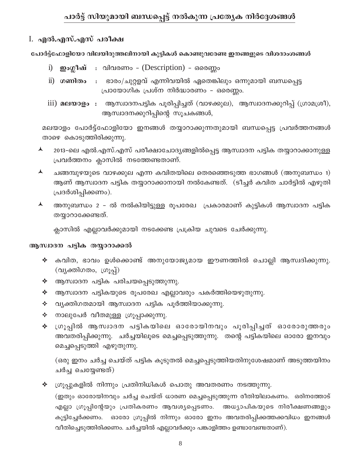# I. എൽ.എസ്.എസ് പരീക്ഷ

പോർട്ട്ഫോളിയോ വിലയിരുത്തലിനായി കുട്ടികൾ കൊണ്ടുവരേണ്ട ഇനങ്ങളുടെ വിശദാംശങ്ങൾ

- i) **ഇംഗ്ലീഷ്** : വിവരണം (Description) ഒരെണ്ണം
- ii) ഗ**ണിതം** : ഭാരം/ചുറ്റളവ് എന്നിവയിൽ ഏതെങ്കിലും ഒന്നുമായി ബന്ധപ്പെട്ട പ്രായോഗിക പ്രശ്ന നിർദ്ധാരണം – ഒരെണ്ണം.
- iii) മലയാളം : ആസ്വാദനപട്ടിക പൂരിപ്പിച്ചത് (വാഴക്കുല), ആസ്വാദനക്കുറിപ്പ് (ഗ്രാമശ്രീ), ആസ്ഥാദനക്കുറിപ്പിന്റെ സൂചകങ്ങൾ,

മലയാളം പോർട്ട്ഫോളിയോ ഇനങ്ങൾ തയ്യാറാക്കുന്നതുമായി ബന്ധപ്പെട്ട പ്രവർത്തനങ്ങൾ താഴെ കൊടുത്തിരിക്കുന്നു.

- $\blacktriangle$ 2013-ലെ എൽ.എസ്.എസ് പരീക്ഷാചോദ്യങ്ങളിൽപ്പെട്ട ആസ്വാദന പട്ടിക തയ്യാറാക്കാനുള്ള പ്രവർത്തനം ക്ലാസിൽ നടത്തേണ്ടതാണ്.
- $\blacktriangle$ ചങ്ങമ്പുഴയുടെ വാഴക്കുല എന്ന കവിതയിലെ തെരഞ്ഞെടുത്ത ഭാഗങ്ങൾ (അനുബന്ധം 1) ആണ് ആസ്വാദന പട്ടിക തയ്യാറാക്കാനായി നൽകേണ്ടത്. (ടീച്ചർ കവിത ചാർട്ടിൽ എഴുതി പ്രദർശിപ്പിക്കണം).
- $\blacktriangle$ അനുബന്ധം 2 – ൽ നൽകിയിട്ടുള്ള രൂപരേഖ (പകാരമാണ് കുട്ടികൾ ആസ്ഥദന പട്ടിക തയ്യാറാക്കേണ്ടത്.

ക്ലാസിൽ എല്ലാവർക്കുമായി നടക്കേണ്ട പ്രക്രിയ ചുവടെ ചേർക്കുന്നു.

# ആസ്വാദന പട്ടിക തയ്യാറാക്കൽ

- $\blacklozenge$  കവിത, ഭാവം ഉൾക്കൊണ്ട് അനുയോജ്യമായ ഈണത്തിൽ ചൊല്ലി ആസ്വദിക്കുന്നു. (വൃക്തിഗതം, ഗ്രൂപ്പ്)
- $\triangleleft$  ആസ്ഥാദന പട്ടിക പരിചയപ്പെടുത്തുന്നു.
- $\blacklozenge$  ആസ്ഥാദന പട്ടികയുടെ രൂപരേഖ എല്ലാവരും പകർത്തിയെഴുതുന്നു.
- $\triangleleft$  വ്യക്തിഗതമായി ആസ്വാദന പട്ടിക പൂർത്തിയാക്കുന്നു.
- $\Leftrightarrow$  നാലുപേർ വീതമുള്ള ഗ്രൂപ്പാക്കുന്നു.
- ∻ ശൂപ്പിൽ ആസ്വാദന പട്ടികയിലെ ഓരോയിനവും പൂരിപ്പിച്ചത് ഓരോരുത്തരും അവതരിപ്പിക്കുന്നു. ചർച്ചയിലൂടെ മെച്ചപ്പെടുത്തുന്നു. തന്റെ പട്ടികയിലെ ഓരോ ഇനവും മെച്ചപ്പെടുത്തി എഴുതുന്നു.

(ഒരു ഇനം ചർച്ച ചെയ്ത് പട്ടിക കൂടുതൽ മെച്ചപ്പെടുത്തിയതിനുശേഷമാണ് അടുത്തയിനം ചർച്ച ചെയ്യേണ്ടത്)

 $\blacklozenge$  ഗ്രൂപ്പുകളിൽ നിന്നും പ്രതിനിധികൾ പൊതു അവതരണം നടത്തുന്നു. (ഇതും ഓരോയിനവും ചർച്ച ചെയ്ത് ധാരണ മെച്ചപ്പെടുത്തുന്ന രീതിയിലാകണം. ഒരിനത്തോട് എല്ലാ ഗ്രൂപ്പിന്റേയും പ്രതികരണം ആവശ്യപ്പെടണം. അധ്യാപികയുടെ നിരീക്ഷണങ്ങളും കൂട്ടിച്ചേർക്കണം. ഓരോ ഗ്രൂപ്പിൽ നിന്നും ഓരോ ഇനം അവതരിപ്പിക്കത്തക്കവിധം ഇനങ്ങൾ വീതിച്ചെടുത്തിരിക്കണം. ചർച്ചയിൽ എല്ലാവർക്കും പങ്കാളിത്തം ഉണ്ടാവേണ്ടതാണ്).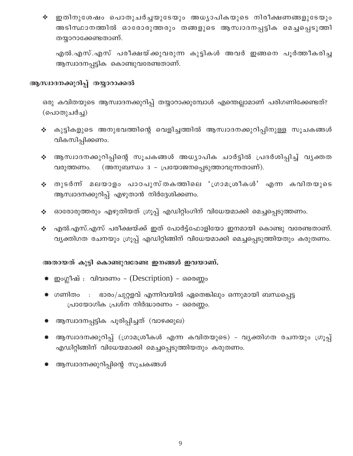∻ ഇതിനുശേഷം പൊതുചർച്ചയുടേയും അധ്യാപികയുടെ നിരീക്ഷണങ്ങളുടേയും അടിസ്ഥാനത്തിൽ ഓരോരുത്തരും തങ്ങളുടെ ആസ്വാദനപ്പട്ടിക മെച്ചപ്പെടുത്തി തയ്യാറാക്കേണ്ടതാണ്.

എൽ.എസ്.എസ് പരീക്ഷയ്ക്കുവരുന്ന കുട്ടികൾ അവർ ഇങ്ങനെ പൂർത്തീകരിച്ച ആസ്ഥദനപ്പട്ടിക കൊണ്ടുവരേണ്ടതാണ്.

## ആസ്ഥദനക്കുറിപ്പ് തയ്യാറാക്കൽ

ഒരു കവിതയുടെ ആസ്വാദനക്കുറിപ്പ് തയ്യാറാക്കുമ്പോൾ എന്തെല്ലാമാണ് പരിഗണിക്കേണ്ടത്? (പൊതുചർച്ച)

- ❖ കുട്ടികളുടെ അനുഭവത്തിന്റെ വെളിച്ചത്തിൽ ആസ്വാദനക്കുറിപ്പിനുള്ള സൂചകങ്ങൾ വികസിപ്പിക്കണം.
- ❖ ആസ്വാദനക്കുറിപ്പിന്റെ സൂചകങ്ങൾ അധ്യാപിക ചാർട്ടിൽ പ്രദർശിപ്പിച്ച് വൃക്തത (അനുബന്ധം 3 - പ്രയോജനപ്പെടുത്താവുന്നതാണ്). വരുത്തണം.
- ∻ തുടർന്ന് മലയാളം പാഠപുസ്തകത്തിലെ 'ശ്രാമശ്രീകൾ' എന്ന കവിതയുടെ ആസ്ഥാദനക്കുറിപ്പ് എഴുതാൻ നിർദ്ദേശിക്കണം.
- ∻ ഓരോരുത്തരും എഴുതിയത് ഗ്രൂപ്പ് എഡിറ്റിംഗിന് വിധേയമാക്കി മെച്ചപ്പെടുത്തണം.
- എൽ.എസ്.എസ് പരീക്ഷയ്ക്ക് ഇത് പോർട്ട്ഫോളിയോ ഇനമായി കൊണ്ടു വരേണ്ടതാണ്. ❖ വ്യക്തിഗത രചനയും ഗ്രൂപ്പ് എഡിറ്റിങ്ങിന് വിധേയമാക്കി മെച്ചപ്പെടുത്തിയതും കരുതണം.

#### അതായത് കുട്ടി കൊണ്ടുവരേണ്ട ഇനങ്ങൾ ഇവയാണ്.

- ഇംഗ്ലീഷ് : വിവരണം (Description) ഒരെണ്ണം
- ☀ ഗണിതം : ഭാരം/ചുറ്റളവ് എന്നിവയിൽ ഏതെങ്കിലും ഒന്നുമായി ബന്ധപ്പെട്ട പ്രായോഗിക പ്രശ്ന നിർദ്ധാരണം - ഒരെണ്ണം.
- ☀ ആസ്ഥാദനപ്പട്ടിക പൂരിപ്പിച്ചത് (വാഴക്കുല)
- ☀ ആസ്വാദനക്കുറിപ്പ് (ഗ്രാമശ്രീകൾ എന്ന കവിതയുടെ) വൃക്തിഗത രചനയും ശൂപ്പ് എഡിറ്റിങ്ങിന് വിധേയമാക്കി മെച്ചപ്പെടുത്തിയതും കരുതണം.
- ☀ ആസ്വാദനക്കുറിപ്പിന്റെ സൂചകങ്ങൾ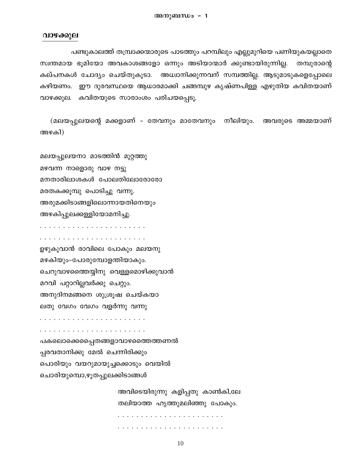#### വാഴക്കുല

പണ്ടുകാലത്ത് തമ്പ്രാക്കന്മാരുടെ പാടത്തും പറമ്പിലും എല്ലുമുറിയെ പണിയുകയല്ലാതെ സ്വന്തമായ ഭൂമിയോ അവകാശങ്ങളോ ഒന്നും അടിയാന്മാർ ക്കുണ്ടായിരുന്നില്ല. തമ്പുരാന്റെ കല്പനകൾ ചോദ്യം ചെയ്തുകൂടാ. അധ്വാനിക്കുന്നവന് സമ്പത്തില്ല. ആടുമാടുകളെപ്പോലെ കഴിയണം. ഈ ദുരവസ്ഥയെ ആധാരമാക്കി ചങ്ങമ്പുഴ കൃഷ്ണപിള്ള എഴുതിയ കവിതയാണ് വാഴക്കുല. കവിതയുടെ സാരാംശം പരിചയപ്പെടു.

(മലയപ്പുലയന്റെ മക്കളാണ് – തേവനും മാതേവനും നീലിയും. അവരുടെ അമ്മയാണ് അഴകി)

മലയപ്പുലയനാ മാടത്തിൻ മുറ്റത്തു മഴവന്ന നാളൊരു വാഴ നട്ടു മനതാരിലാശകൾ പോലതിലോരോരോ മരതകക്കൂമ്പു പൊടിച്ചു വന്നു. അരുമക്കിടാങ്ങളിലൊന്നായതിനെയും അഴകിപ്പുലക്കള്ളിയോമനിച്ചു.

ഉഴുകുവാൻ രാവിലെ പോകും മലയനു മഴകിയും-പോരുമ്പോളന്തിയാകും. ചെറുവാഴത്തൈയ്യിനു വെള്ളമൊഴിക്കുവാൻ മറവി പറ്റാറില്ലവർക്കു ചെറ്റും. അനുദിനമങ്ങനെ ശുശ്രൂഷ ചെയ്കയാ ലതു വേഗം വേഗം വളർന്നു വന്നു പകലൊക്കെപ്പെതങ്ങളാവാഴത്തൈത്തണൽ പ്പരവതാനിക്കു മേൽ ചെന്നിരിക്കും പൊരിയും വയറുമായുച്ചക്കൊടും വെയിൽ ചൊരിയുമ്പൊ,ഴൂതപ്പുലക്കിടാങ്ങൾ

> അവിടെയിരുന്നു കളിപ്പതു കാൺകി,ലേ തലിയാത്ത ഹൃത്തുമലിഞ്ഞു പോകും.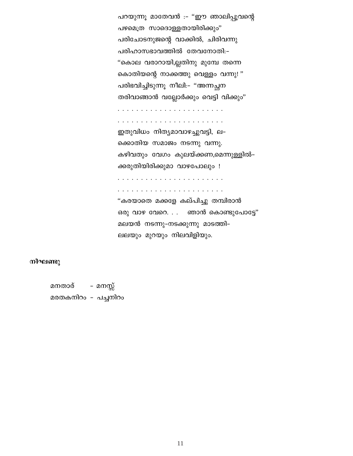പറയുന്നു മാതേവൻ :- "ഈ ഞാലിപ്പൂവന്റെ പഴമെത്ര സാദൊള്ളതായിരിക്കും" പരിചോടനുജന്റെ വാക്കിൽ, ചിരിവന്നു പരിഹാസഭാവത്തിൽ തേവനോതി:-"കൊല വരാറായി,ല്ലതിനു മുമ്പേ തന്നെ കൊതിയന്റെ നാക്കത്തു വെള്ളം വന്നു!" പരിഭവിച്ചിടുന്നു നീലി:– "അന്നച്ഛന തരിവാങ്ങാൻ വല്ലോർക്കും വെട്ടി വിക്കും"

ഇതുവിധം നിത്യമാവാഴച്ചുവട്ടി, ല-ക്കൊതിയ സമാജം നടന്നു വന്നു. കഴിവതും വേഗം കുലയ്ക്കണ,മെന്നുള്ളിൽ– ക്കരുതിയിരിക്കുമാ വാഴപോലും !

"കരയാതെ മക്കളേ കല്പിച്ചു തമ്പിരാൻ ഒരു വാഴ വേറെ. . . ഞാൻ കൊണ്ടുപോട്ടേ" മലയൻ നടന്നു-നടക്കുന്നു മാടത്തി-ലലയും മുറയും നിലവിളിയും.

#### നിഘണ്ടു

മനതാര് – മനസ്സ് മരതകനിറം - പച്ചനിറം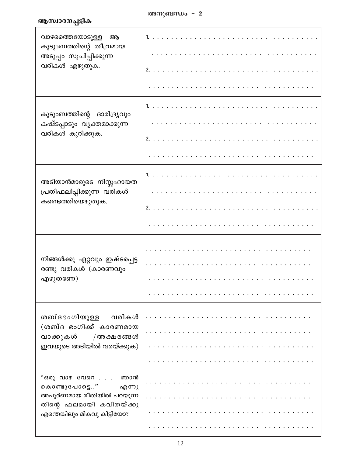# ആസ്ഥദനപ്പട്ടിക

| വാഴത്തൈയോടുള്ള<br>ആ<br>കുടുംബത്തിന്റെ തീവ്രമായ<br>അടുപ്പം സൂചിപ്പിക്കുന്ന<br>വരികൾ എഴുതുക.                                          | 1.<br>. |
|-------------------------------------------------------------------------------------------------------------------------------------|---------|
| കുടുംബത്തിന്റെ ദാരിദ്ര്യവും<br>കഷ്ടപ്പാടും വൃക്തമാക്കുന്ന<br>വരികൾ കുറിക്കുക.                                                       |         |
| അടിയാൻമാരുടെ നിസ്സഹായത<br>പ്രതിഫലിപ്പിക്കുന്ന വരികൾ<br>കണ്ടെത്തിയെഴുതുക.                                                            | .<br>1. |
| നിങ്ങൾക്കു ഏറ്റവും ഇഷ്ടപ്പെട്ട<br>രണ്ടു വരികൾ (കാരണവും<br>എഴുതണേ)                                                                   |         |
| ശബ്ദഭംഗിയുള്ള<br>വരികൾ<br>(ശബ്ദ ഭംഗിക്ക് കാരണമായ<br>വാക്കുകൾ /അക്ഷരങ്ങൾ<br>ഇവയുടെ അടിയിൽ വരയ്ക്കുക)                                 |         |
| "ഒരു വാഴ വേറെ ഞാൻ<br>കൊണ്ടുപോട്ടെ"<br>എന്നു<br>അപൂർണമായ രീതിയിൽ പറയുന്ന<br>തിന്റെ ഫലമായി കവിതയ്ക്കു<br>എന്തെങ്കിലും മികവു കിട്ടിയോ? |         |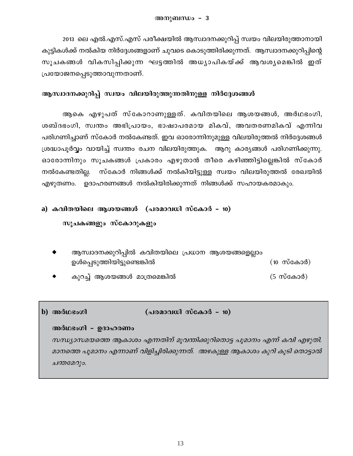2013 ലെ എൽ.എസ്.എസ് പരീക്ഷയിൽ ആസ്വാദനക്കുറിപ്പ് സ്വയം വിലയിരുത്താനായി കുട്ടികൾക്ക് നൽകിയ നിർദ്ദേശങ്ങളാണ് ചുവടെ കൊടുത്തിരിക്കുന്നത്. ആസ്വാദനക്കുറിപ്പിന്റെ സൂചകങ്ങൾ വികസിപ്പിക്കുന്ന ഘട്ടത്തിൽ അധ്യാപികയ്ക്ക് ആവശ്യമെങ്കിൽ ഇത് ്പയോജനപ്പെടുത്താവുന്നതാണ്.

#### ആസ്വാദനക്കുറിപ്പ് സ്വയം വിലയിരുത്തുന്നതിനുള്ള നിർദ്ദേശങ്ങൾ

ആകെ എഴുപത് സ്കോറാണുള്ളത്. കവിതയിലെ ആശയങ്ങൾ, അർഥഭംഗി, ശബ്ദഭംഗി, സ്വന്തം അഭിപ്രായം, ഭാഷാപരമായ മികവ്, അവതരണമികവ് എന്നിവ പരിഗണിച്ചാണ് സ്കോർ നൽകേണ്ടത്. ഇവ ഓരോന്നിനുമുള്ള വിലയിരുത്തൽ നിർദ്ദേശങ്ങൾ  ${1}$ ശദ്ധാപൂർവ്വം വായിച്ച് സ്വന്തം രചന വിലയിരുത്തുക. ആറു കാര്യങ്ങൾ പരിഗണിക്കുന്നു. ഓരോന്നിനും സൂചകങ്ങൾ പ്രകാരം എഴുതാൻ തീരെ കഴിഞ്ഞിട്ടില്ലെങ്കിൽ സ്കോർ \നൽകേണ്ടതില്ല. സ്കോർ നിങ്ങൾക്ക് നൽകിയിട്ടുള്ള സ്വയം വിലയിരുത്തൽ രേഖയിൽ എഴുതണം. ഉദാഹരണങ്ങൾ നൽകിയിരിക്കുന്നത് നിങ്ങൾക്ക് സഹായകരമാകും.

### a) കവിതയിലെ ആശയങ്ങൾ (പരമാവധി സ്കോർ - 10)

### സൂചകങ്ങളും സ്കോറുകളും

- ആസ്വാദനക്കുറിപ്പിൽ കവിതയിലെ പ്രധാന ആശയങ്ങളെല്ലാം Dƒs∏SpØnbn´ps≠¶n¬ (10 kvtIm¿)
- കുറച്ച് ആശയങ്ങൾ മാത്രമെങ്കിൽ  $(5 \text{ w} \text{w} \text{m})$

### **b**) അർഥഭംഗി (പരമാവധി സ്കോർ - 10)

#### അർഥഭംഗി - **ഉദാഹരണം**

*സന്ധ്യാസമയത്തെ ആകാശം എന്നതിന് മൂവന്തിക്കുറിതൊട്ട പൂമാനം എന്ന് കവി എഴുതി.* മാനത്തെ പൂമാനം എന്നാണ് വിളിച്ചിരിക്കുന്നത്. അഴകുള്ള ആകാശം കുറി കൂടി തൊട്ടാൽ ചന്ത*മേറും.*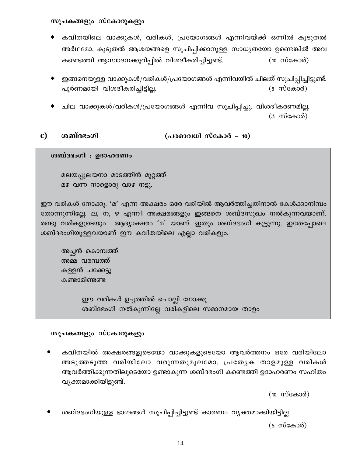സൂചകങ്ങളും സ്കോറുകളും

- കവിതയിലെ വാക്കുകൾ, വരികൾ, പ്രയോഗങ്ങൾ എന്നിവയ്ക്ക് ഒന്നിൽ കൂടുതൽ അർഥമോ, കൂടുതൽ ആശയങ്ങളെ സൂചിപ്പിക്കാനുള്ള സാധ്യതയോ ഉണ്ടെങ്കിൽ അവ കണ്ടെത്തി ആസ്വാദനക്കുറിപ്പിൽ വിശദീകരിച്ചിട്ടുണ്ട്.  $(10 \t{m} \cos 3\theta)$
- ഇങ്ങനെയുള്ള വാക്കുകൾ/വരികൾ/പ്രയോഗങ്ങൾ എന്നിവയിൽ ചിലത് സൂചിപ്പിച്ചിട്ടുണ്ട്. പൂർണമായി വിശദീകരിച്ചിട്ടില്ല.  $(5 \n m$ ്കോർ)
- ചില വാക്കുകൾ/വരികൾ/പ്രയോഗങ്ങൾ എന്നിവ സൂചിപ്പിച്ചു. വിശദീകരണമില്ല.  $(3 \nightharpoonup \nightharpoonup \nightharpoonup \nightharpoonup \nightharpoonup \nightharpoonup \nightharpoonup \nightharpoonup \nightharpoonup \nightharpoonup \nightharpoonup \nightharpoonup \nightharpoonup \nightharpoonup \nightharpoonup \nightharpoonup \nightharpoonup \nightharpoonup \nightharpoonup \nightharpoonup \nightharpoonup \nightharpoonup \nightharpoonup \nightharpoonup \nightharpoonup \nightharpoonup \nightharpoonup \nightharpoonup \nightharpoonup \nightharpoonup \nightharpoonup \nightharpoonup \nightharpoonup \nightharpoonup \nightharpoonup \nightharpoonup \n$

(പരമാവധി സ്കോർ - 10) ശബ്ദഭംഗി  $\mathbf{c})$ 

ശബ്ദഭംഗി : ഉദാഹരണം

മലയപ്പുലയനാ മാടത്തിൻ മുറ്റത്ത് മഴ വന്ന നാളൊരു വാഴ നട്ടു.

ഈ വരികൾ നോക്കൂ. 'മ' എന്ന അക്ഷരം ഒരേ വരിയിൽ ആവർത്തിച്ചതിനാൽ കേൾക്കാനിമ്പം തോന്നുന്നില്ലേ. ല, ന, ഴ എന്നീ അക്ഷരങ്ങളും ഇങ്ങനെ ശബ്ദസുഖം നൽകുന്നവയാണ്. രണ്ടു വരികളുടെയും ആദ്യാക്ഷരം 'മ' യാണ്. ഇതും ശബ്ദഭംഗി കൂട്ടുന്നു. ഇതേപ്പോലെ ശബ്ദഭംഗിയുള്ളവയാണ് ഈ കവിതയിലെ എല്ലാ വരികളും.

അച്ഛൻ കൊമ്പത്ത് അമ്മ വരമ്പത്ത് കള്ളൻ ചക്കേട്ടു കണ്ടാമിണ്ടണ്ട

> ഈ വരികൾ ഉച്ചത്തിൽ ചൊല്ലി നോക്കൂ ശബ്ദഭംഗി നൽകുന്നില്ലേ വരികളിലെ സമാനമായ താളം

### സൂചകങ്ങളും സ്കോറുകളും

കവിതയിൽ അക്ഷരങ്ങളുടെയോ വാക്കുകളുടെയോ ആവർത്തനം ഒരേ വരിയിലോ അടുത്തടുത്ത വരിയിലോ വരുന്നതുമൂലമോ, പ്രത്യേക താളമുള്ള വരികൾ ആവർത്തിക്കുന്നതിലൂടെയോ ഉണ്ടാകുന്ന ശബ്ദഭംഗി കണ്ടെത്തി ഉദാഹരണം സഹിതം വ്യക്തമാക്കിയിട്ടുണ്ട്.

 $(10 \t{m} \cos 3\theta)$ 

ശബ്ദഭംഗിയുള്ള ഭാഗങ്ങൾ സൂചിപ്പിച്ചിട്ടുണ്ട് കാരണം വ്യക്തമാക്കിയിട്ടില്ല

 $(5 \n m$ casod)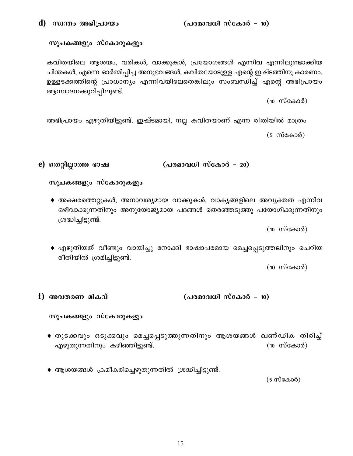### സൂചകങ്ങളും സ്കോറുകളും

കവിതയിലെ ആശയം, വരികൾ, വാക്കുകൾ, പ്രയോഗങ്ങൾ എന്നിവ എന്നിലുണ്ടാക്കിയ ചിന്തകൾ, എന്നെ ഓർമ്മിപ്പിച്ച അനുഭവങ്ങൾ, കവിതയോടുള്ള എന്റെ ഇഷ്ടത്തിനു കാരണം, ഉള്ളടക്കത്തിന്റെ പ്രാധാന്യം എന്നിവയിലേതെങ്കിലും സംബന്ധിച്ച് എന്റെ അഭിപ്രായം ആസ്വാദനക്കുറിപ്പിലുണ്ട്.

 $(10 \t m$ കോർ)

അഭിപ്രായം എഴുതിയിട്ടുണ്ട്. ഇഷ്ടമായി, നല്ല കവിതയാണ് എന്ന രീതിയിൽ മാത്രം  $(5 \text{ m} \cdot \text{m})$ 

e) തെറ്റില്ലാത്ത ഭാഷ (പരമാവധി സ്കോർ - 20)

```
സൂചകങ്ങളും സ്കോറുകളും
```
 $\bullet$  അക്ഷരത്തെറ്റുകൾ, അനാവശ്യമായ വാക്കുകൾ, വാകൃങ്ങളിലെ അവൃക്തത എന്നിവ ഒഴിവാക്കുന്നതിനും അനുയോജ്യമായ പദങ്ങൾ തെരഞ്ഞടുത്തു പയോഗിക്കുന്നതിനും ശ്രദ്ധിച്ചിട്ടുണ്ട്.

 $(10 \t{m} \cos 3\theta)$ 

♦ എഴുതിയത് വീണ്ടും വായിച്ചു നോക്കി ഭാഷാപരമായ മെച്ചപ്പെടുത്തലിനും ചെറിയ രീതിയിൽ ശ്രമിച്ചിട്ടുണ്ട്.

 $(10 \n m$ ്കോർ)

#### (പരമാവധി സ്കോർ - 10) f) അവതരണ മികവ്

സൂചകങ്ങളും സ്കോറുകളും

- ♦ തുടക്കവും ഒടുക്കവും മെച്ചപ്പെടുത്തുന്നതിനും ആശയങ്ങൾ ഖണ്ഡിക തിരിച്ച് എഴുതുന്നതിനും കഴിഞ്ഞിട്ടുണ്ട്.  $(10 \t{m} \cos 3\theta)$
- ♦ ആശയങ്ങൾ ക്രമീകരിച്ചെഴുതുന്നതിൽ ശ്രദ്ധിച്ചിട്ടുണ്ട്.

 $(5 \text{ m} \cdot \text{m} \cdot \text{m})$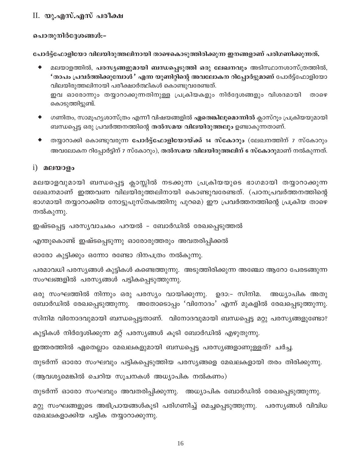# II. യു.എസ്.എസ് പരീക്ഷ

പൊതുനിർദ്ദേശങ്ങൾ:-

പോർട്ട്ഫോളിയോ വിലയിരുത്തലിനായി താഴെകൊടുത്തിരിക്കുന്ന ഇനങ്ങളാണ് പരിഗണിക്കുന്നത്.

- മലയാളത്തിൽ, പരസൃങ്ങളുമായി ബന്ധപ്പെടുത്തി ഒരു ലേഖനവും അടിസ്ഥാനശാസ്ത്രത്തിൽ, 'താപം പ്രവർത്തിക്കുമ്പോൾ' എന്ന യൂണിറ്റിന്റെ അവലോകന റിപ്പോർട്ടുമാണ് പോർട്ട്ഫോളിയോ വിലയിരുത്തലിനായി പരീക്ഷാർത്ഥികൾ കൊണ്ടുവരേണ്ടത്. ഇവ ഓരോന്നും തയ്യാറാക്കുന്നതിനുള്ള പ്രക്രിയകളും നിർദ്ദേശങ്ങളും വിശദമായി താഴെ കൊടുത്തിട്ടുണ്ട്.
- ഗണിതം, സാമൂഹ്യശാസ്ത്രം എന്നീ വിഷയങ്ങളിൽ **ഏതെങ്കിലുമൊന്നി**ൽ ക്ലാസ്റൂം പ്രക്രിയയുമായി ബന്ധപ്പെട്ട ഒരു പ്രവർത്തനത്തിന്റെ തൽസമയ വിലയിരുത്തലും ഉണ്ടാകുന്നതാണ്.
- തയ്യാറാക്കി കൊണ്ടുവരുന്ന പോർട്ട്ഫോളിയോയ്ക്ക് 14 സ്കോറും (ലേഖനത്തിന് 7 സ്കോറും അവലോകന റിപ്പോർട്ടിന് 7 സ്കോറും), <mark>തൽസമയ വിലയിരുത്തലിന് 6 സ്കോറു</mark>മാണ് നൽകുന്നത്.

## $i)$  മലയാളം

മലയാളവുമായി ബന്ധപ്പെട്ട ക്ലാസ്സിൽ നടക്കുന്ന പ്രക്രിയയുടെ ഭാഗമായി തയ്യാറാക്കുന്ന ലേഖനമാണ് ഇത്തവണ വിലയിരുത്തലിനായി കൊണ്ടുവരേണ്ടത്. (പഠനപ്രവർത്തനത്തിന്റെ ഭാഗമായി തയ്യാറാക്കിയ നോട്ടുപുസ്തകത്തിനു പുറമെ) ഈ പ്രവർത്തനത്തിന്റെ പ്രക്രിയ താഴെ നൽകുന്നു.

ഇഷ്ടപ്പെട്ട പരസ്യവാചകം പറയൽ - ബോർഡിൽ രേഖപ്പെടുത്തൽ

എന്തുകൊണ്ട് ഇഷ്ടപ്പെടുന്നു ഓരോരുത്തരും അവതരിപ്പിക്കൽ

ഓരോ കുട്ടിക്കും ഒന്നോ രണ്ടോ ദിനപത്രം നൽകുന്നു.

പരമാവധി പരസ്യങ്ങൾ കുട്ടികൾ കണ്ടെത്തുന്നു. അടുത്തിരിക്കുന്ന അഞ്ചോ ആറോ പേരടങ്ങുന്ന സംഘങ്ങളിൽ പരസ്യങ്ങൾ പട്ടികപ്പെടുത്തുന്നു.

ഒരു സംഘത്തിൽ നിന്നും ഒരു പരസ്യം വായിക്കുന്നു. ഉദാ:- സിനിമ. അധ്യാപിക അതു ബോർഡിൽ രേഖപ്പെടുത്തുന്നു. അതോടൊപ്പം 'വിനോദം' എന്ന് മുകളിൽ രേഖപ്പെടുത്തുന്നു. സിനിമ വിനോദവുമായി ബന്ധപ്പെട്ടതാണ്. വിനോദവുമായി ബന്ധപ്പെട്ട മറ്റു പരസ്യങ്ങളുണ്ടോ? കുട്ടികൾ നിർദ്ദേശിക്കുന്ന മറ്റ് പരസ്യങ്ങൾ കൂടി ബോർഡിൽ എഴുതുന്നു.

ഇത്തരത്തിൽ ഏതെല്ലാം മേഖലകളുമായി ബന്ധപ്പെട്ട പരസ്യങ്ങളാണുള്ളത്? ചർച്ച.

തുടർന്ന് ഓരോ സംഘവും പട്ടികപ്പെടുത്തിയ പരസ്യങ്ങളെ മേഖലകളായി തരം തിരിക്കുന്നു.

(ആവശ്യമെങ്കിൽ ചെറിയ സൂചനകൾ അധ്യാപിക നൽകണം)

തുടർന്ന് ഓരോ സംഘവും അവതരിപ്പിക്കുന്നു. അധ്യാപിക ബോർഡിൽ രേഖപ്പെടുത്തുന്നു.

മറ്റു സംഘങ്ങളുടെ അഭിപ്രായങ്ങൾകൂടി പരിഗണിച്ച് മെച്ചപ്പെടുത്തുന്നു. പരസ്യങ്ങൾ വിവിധ മേഖലകളാക്കിയ പട്ടിക തയ്യാറാക്കുന്നു.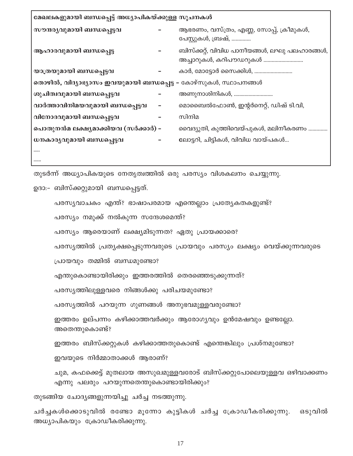| മേഖലകളുമായി ബന്ധപ്പെട്ട് അധ്യാപികയ്ക്കുള്ള സൂചനകൾ               |   |                                                                       |
|-----------------------------------------------------------------|---|-----------------------------------------------------------------------|
| സൗന്ദര്യവുമായി ബന്ധപ്പെട്ടവ                                     |   | ആഭരണം, വസ്ത്രം, എണ്ണ, സോപ്പ്, ക്രീമുകൾ,<br>പേസ്റ്റുകൾ, ബ്രഷ്,         |
| ആഹാരവുമായി ബന്ധപ്പെട്ട                                          |   | ബിസ്ക്കറ്റ്, വിവിധ പാനീയങ്ങൾ, ലഘു പലഹാരങ്ങൾ,<br>അച്ചാറുകൾ, കറിപൗഡറുകൾ |
| യാത്രയുമായി ബന്ധപ്പെട്ടവ                                        |   | കാർ, മോട്ടോർ സൈക്കിൾ,                                                 |
| തൊഴിൽ, വിദ്യാഭ്യാസം ഇവയുമായി ബന്ധപ്പെട്ട – കോഴ്സുകൾ, സ്ഥാപനങ്ങൾ |   |                                                                       |
| ശുചിത്വവുമായി ബന്ധപ്പെട്ടവ                                      |   | അണുനാശിനികൾ,                                                          |
| വാർത്താവിനിമയവുമായി ബന്ധപ്പെട്ടവ                                | - | മൊബൈൽഫോൺ, ഇന്റർനെറ്റ്, ഡിഷ് ടി.വി,                                    |
| വിനോദവുമായി ബന്ധപ്പെട്ടവ                                        |   | സിനിമ                                                                 |
| പൊതുനൻമ ലക്ഷ്യമാക്കിയവ (സർക്കാർ) –                              |   | വൈദ്യുതി, കുത്തിവെയ്പുകൾ, മലിനീകരണം                                   |
| ധനകാര്യവുമായി ബന്ധപ്പെട്ടവ                                      |   | ലോട്ടറി, ചിട്ടികൾ, വിവിധ വായ്പകൾ                                      |
|                                                                 |   |                                                                       |

തുടർന്ന് അധ്യാപികയുടെ നേതൃത്വത്തിൽ ഒരു പരസ്യം വിശകലനം ചെയ്യുന്നു.

ഉദാ:– ബിസ്ക്കറ്റുമായി ബന്ധപ്പെട്ടത്.

പരസ്യവാചകം എന്ത്? ഭാഷാപരമായ എന്തെല്ലാം പ്രത്യേകതകളുണ്ട്?

പരസ്യം നമുക്ക് നൽകുന്ന സന്ദേശമെന്ത്?

പരസ്യം ആരെയാണ് ലക്ഷ്യമിടുന്നത? ഏതു പ്രായക്കാരെ?

പരസൃത്തിൽ പ്രതൃക്ഷപ്പെടുന്നവരുടെ പ്രായവും പരസ്യം ലക്ഷ്യം വെയ്ക്കുന്നവരുടെ

പ്രായവും തമ്മിൽ ബന്ധമുണ്ടോ?

എന്തുകൊണ്ടായിരിക്കും ഇത്തരത്തിൽ തെരഞ്ഞെടുക്കുന്നത്?

പരസ്യത്തിലുള്ളവരെ നിങ്ങൾക്കു പരിചയമുണ്ടോ?

പരസ്യത്തിൽ പറയുന്ന ഗുണങ്ങൾ അനുഭവമുള്ളവരുണ്ടോ?

ഇത്തരം ഉല്പന്നം കഴിക്കാത്തവർക്കും ആരോഗ്യവും ഉൻമേഷവും ഉണ്ടല്ലോ. അതെന്തുകൊണ്ട്?

ഇത്തരം ബിസ്ക്കറ്റുകൾ കഴിക്കാത്തതുകൊണ്ട് എന്തെങ്കിലും പ്രശ്നമുണ്ടോ?

ഇവയുടെ നിർമ്മാതാക്കൾ ആരാണ്?

ചുമ, കഫക്കെട്ട് മുതലായ അസുഖമുള്ളവരോട് ബിസ്ക്കറ്റുപോലെയുള്ളവ ഒഴിവാക്കണം എന്നു പലരും പറയുന്നതെന്തുകൊണ്ടായിരിക്കും?

തുടങ്ങിയ ചോദ്യങ്ങളുന്നയിച്ചു ചർച്ച നടത്തുന്നു.

ചർച്ചകൾക്കൊടുവിൽ രണ്ടോ മൂന്നോ കുട്ടികൾ ചർച്ച ക്രോഡീകരിക്കുന്നു. ഒടുവിൽ അധ്യാപികയും ക്രോഡീകരിക്കുന്നു.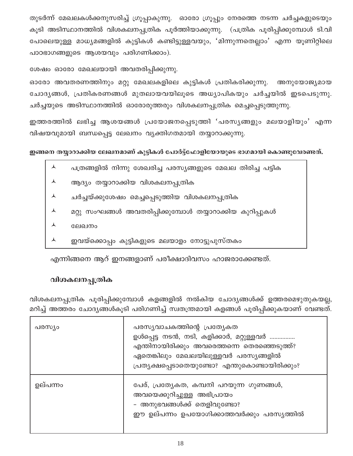തുടർന്ന് മേഖലകൾക്കനുസരിച്ച് ഗ്രൂപ്പാകുന്നു. ഓരോ ഗ്രൂപ്പും നേരത്തെ നടന്ന ചർച്ചകളുടെയും കൂടി അടിസ്ഥാനത്തിൽ വിശകലനപ്പത്രിക പൂർത്തിയാക്കുന്നു. (പത്രിക പൂരിപ്പിക്കുമ്പോൾ ടി.വി പോലെയുള്ള മാധ്യമങ്ങളിൽ കുട്ടികൾ കണ്ടിട്ടുള്ളവയും, 'മിന്നുന്നതെല്ലാം' എന്ന യൂണിറ്റിലെ പാഠഭാഗങ്ങളുടെ ആശയവും പരിഗണിക്കാം).

ശേഷം ഓരോ മേഖലയായി അവതരിപ്പിക്കുന്നു.

ഓരോ അവതരണത്തിനും മറ്റു മേഖലകളിലെ കുട്ടികൾ പ്രതികരിക്കുന്നു. അനുയോജ്യമായ ചോദൃങ്ങൾ, പ്രതികരണങ്ങൾ മുതലായവയിലൂടെ അധ്യാപികയും ചർച്ചയിൽ ഇടപെടുന്നു. ചർച്ചയുടെ അടിസ്ഥാനത്തിൽ ഓരോരുത്തരും വിശകലനപ്പത്രിക മെച്ചപ്പെടുത്തുന്നു.

ഇത്തരത്തിൽ ലഭിച്ച ആശയങ്ങൾ പ്രയോജനപ്പെടുത്തി 'പരസൃങ്ങളും മലയാളിയും' എന്ന വിഷയവുമായി ബന്ധപ്പെട്ട ലേഖനം വ്യക്തിഗതമായി തയ്യാറാക്കുന്നു.

ഇങ്ങനെ തയ്യാറാക്കിയ ലേഖനമാണ് കുട്ടികൾ പോർട്ട്ഫോളിയോയുടെ ഭാഗമായി കൊണ്ടുവേരണ്ടത്.

- ⋏ പത്രങ്ങളിൽ നിന്നു ശേഖരിച്ച പരസ്യങ്ങളുടെ മേഖല തിരിച്ച പട്ടിക
- ആദ്യം തയ്യാറാക്കിയ വിശകലനപ്പത്രിക ᄉ
- ചർച്ചയ്ക്കുശേഷം മെച്ചപ്പെടുത്തിയ വിശകലനപ്പത്രിക
- മറ്റു സംഘങ്ങൾ അവതരിപ്പിക്കുമ്പോൾ തയ്യാറാക്കിയ കുറിപ്പുകൾ
- $\blacktriangle$ ലേഖനം
- $\blacktriangle$
- 
- 
- 
- 
- 
- ഇവയ്ക്കൊപ്പം കുട്ടികളുടെ മലയാളം നോട്ടുപുസ്തകം

എന്നിങ്ങനെ ആറ് ഇനങ്ങളാണ് പരീക്ഷാദിവസം ഹാജരാക്കേണ്ടത്.

# വിശകലനപ്പത്രിക

വിശകലനപ്പത്രിക പൂരിപ്പിക്കുമ്പോൾ കളങ്ങളിൽ നൽകിയ ചോദ്യങ്ങൾക്ക് ഉത്തരമെഴുതുകയല്ല, മറിച്ച് അത്തരം ചോദ്യങ്ങൾകൂടി പരിഗണിച്ച് സ്വതന്ത്രമായി കളങ്ങൾ പൂരിപ്പിക്കുകയാണ് വേണ്ടത്.

| പരസ്യം   | പരസ്യവാചകത്തിന്റെ പ്രത്യേകത<br>ഉൾപ്പെട്ട നടൻ, നടി, കളിക്കാർ, മറ്റുള്ളവർ<br>എന്തിനായിരിക്കും അവരെത്തന്നെ തെരഞ്ഞെടുത്ത്?<br>ഏതെങ്കിലും മേഖലയിലുള്ളവർ പരസ്യങ്ങളിൽ<br>പ്രത്യക്ഷപ്പെടാതെയുണ്ടോ? എന്തുകൊണ്ടായിരിക്കും? |
|----------|------------------------------------------------------------------------------------------------------------------------------------------------------------------------------------------------------------------|
| ഉല്പന്നം | പേര്, പ്രത്യേകത, കമ്പനി പറയുന്ന ഗുണങ്ങൾ,<br>അവയെക്കുറിച്ചുള്ള അഭിപ്രായം<br>- അനുഭവങ്ങൾക്ക് തെളിവുണ്ടോ?<br>ഈ ഉല്പന്നം ഉപയോഗിക്കാത്തവർക്കും പരസ്യത്തിൽ                                                             |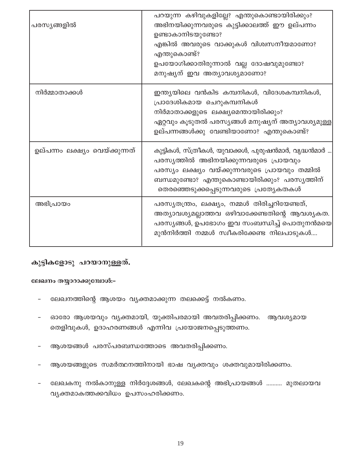| പരസ്യങ്ങളിൽ                    | പറയുന്ന കഴിവുകളില്ലേ? എന്തുകൊണ്ടായിരിക്കും?<br>അഭിനയിക്കുന്നവരുടെ കുട്ടിക്കാലത്ത് ഈ ഉല്പന്നം<br>ഉണ്ടാകാനിടയുണ്ടോ?<br>എങ്കിൽ അവരുടെ വാക്കുകൾ വിശ്വസനീയമാണോ?<br>എന്തുകൊണ്ട്?<br>ഉപയോഗിക്കാതിരുന്നാൽ വല്ല ദോഷവുമുണ്ടോ?<br>മനുഷ്യന് ഇവ അത്യാവശ്യമാണോ? |
|--------------------------------|---------------------------------------------------------------------------------------------------------------------------------------------------------------------------------------------------------------------------------------------------|
| നിർമ്മാതാക്കൾ                  | ഇന്ത്യയിലെ വൻകിട കമ്പനികൾ, വിദേശകമ്പനികൾ,<br>പ്രാദേശികമായ ചെറുകമ്പനികൾ<br>നിർമാതാക്കളുടെ ലക്ഷ്യമെന്തായിരിക്കും?<br>ഏറ്റവും കൂടുതൽ പരസ്യങ്ങൾ മനുഷ്യന് അത്യാവശ്യമുള്ള<br>ഉല്പന്നങ്ങൾക്കു വേണ്ടിയാണോ? എന്തുകൊണ്ട്?                                   |
| ഉല്പന്നം ലക്ഷ്യം വെയ്ക്കുന്നത് | കുട്ടികൾ, സ്ത്രീകൾ, യുവാക്കൾ, പുരുഷൻമാർ, വൃദ്ധൻമാർ<br>പരസ്യത്തിൽ അഭിനയിക്കുന്നവരുടെ പ്രായവും<br>പരസ്യം ലക്ഷ്യം വയ്ക്കുന്നവരുടെ പ്രായവും തമ്മിൽ<br>ബന്ധമുണ്ടോ? എന്തുകൊണ്ടായിരിക്കും? പരസ്യത്തിന്<br>തെരഞ്ഞെടുക്കപ്പെടുന്നവരുടെ പ്രത്യേകതകൾ         |
| അഭിപ്രായം                      | പരസ്യതന്ത്രം, ലക്ഷ്യം, നമ്മൾ തിരിച്ചറിയേണ്ടത്,<br>അത്യാവശ്യമല്ലാത്തവ ഒഴിവാക്കേണ്ടതിന്റെ ആവശ്യകത.<br>പരസ്യങ്ങൾ, ഉപഭോഗം ഇവ സംബന്ധിച്ച് പൊതുനൻമയെ<br>മുൻനിർത്തി നമ്മൾ സ്വീകരിക്കേണ്ട നിലപാടുകൾ                                                       |

# കുട്ടികളോടു പറയാനുള്ളത്.

#### ലേഖനം തയ്യാറാക്കുമ്പോൾ:-

- ലേഖനത്തിന്റെ ആശയം വ്യക്തമാക്കുന്ന തലക്കെട്ട് നൽകണം.
- ഓരോ ആശയവും വ്യക്തമായി, യുക്തിപരമായി അവതരിപ്പിക്കണം. ആവശ്യമായ തെളിവുകൾ, ഉദാഹരണങ്ങൾ എന്നിവ പ്രയോജനപ്പെടുത്തണം.
- ആശയങ്ങൾ പരസ്പരബന്ധത്തോടെ അവതരിപ്പിക്കണം.
- ആശയങ്ങളുടെ സമർത്ഥനത്തിനായി ഭാഷ വ്യക്തവും ശക്തവുമായിരിക്കണം.
- ലേഖകനു നൽകാനുള്ള നിർദ്ദേശങ്ങൾ, ലേഖകന്റെ അഭിപ്രായങ്ങൾ .......... മുതലായവ വ്യക്തമാകത്തക്കവിധം ഉപസംഹരിക്കണം.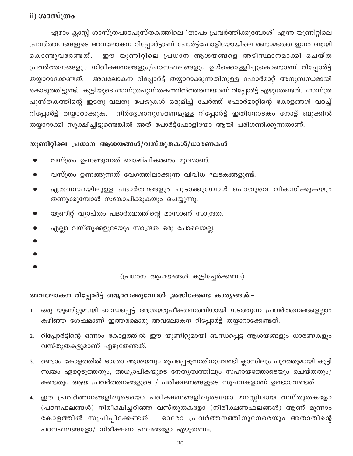# $\mathbf{ii})$  ശാസ്ത്രം

ഏഴാം ക്ലാസ്സ് ശാസ്ത്രപാഠപുസ്തകത്തിലെ 'താപം പ്രവർത്തിക്കുമ്പോൾ' എന്ന യൂണിറ്റിലെ പ്രവർത്തനങ്ങളുടെ അവലോകന റിപ്പോർട്ടാണ് പോർട്ട്ഫോളിയോയിലെ രണ്ടാമത്തെ ഇനം ആയി ഈ യൂണിറ്റിലെ പ്രധാന ആശയങ്ങളെ അടിസ്ഥാനമാക്കി ചെയ്ത കൊണ്ടുവരേണ്ടത്. പ്രവർത്തനങ്ങളും നിരീക്ഷണങ്ങളും/പഠനഫലങ്ങളും ഉൾക്കൊള്ളിച്ചുകൊണ്ടാണ് റിപ്പോർട്ട് തയ്യാറാക്കേണ്ടത്. അവലോകന റിപ്പോർട്ട് തയ്യാറാക്കുന്നതിനുള്ള ഫോർമാറ്റ് അനുബന്ധമായി കൊടുത്തിട്ടുണ്ട്. കുട്ടിയുടെ ശാസ്ത്രപുസ്തകത്തിൽത്തന്നെയാണ് റിപ്പോർട്ട് എഴുതേണ്ടത്. ശാസ്ത്ര പുസ്തകത്തിന്റെ ഇടതു-വലതു പേജുകൾ ഒരുമിച്ച് ചേർത്ത് ഫോർമാറ്റിന്റെ കോളങ്ങൾ വരച്ച് നിർദ്ദേശാനുസരണമുള്ള റിപ്പോർട്ട് ഇതിനോടകം നോട്ട് ബുക്കിൽ റിപ്പോർട്ട് തയ്യാറാക്കുക. തയ്യാറാക്കി സൂക്ഷിച്ചിട്ടുണ്ടെങ്കിൽ അത് പോർട്ട്ഫോളിയോ ആയി പരിഗണിക്കുന്നതാണ്.

## യൂണിറ്റിലെ പ്രധാന ആശയങ്ങൾ/വസ്തുതകൾ/ധാരണകൾ

- വസ്ത്രം ഉണങ്ങുന്നത് ബാഷ്പീകരണം മൂലമാണ്.
- വസ്ത്രം ഉണങ്ങുന്നത് വേഗത്തിലാക്കുന്ന വിവിധ ഘടകങ്ങളുണ്ട്.
- ഏതവസ്ഥയിലുള്ള പദാർത്ഥങ്ങളും ചൂടാക്കുമ്പോൾ പൊതുവെ വികസിക്കുകയും ₩ തണുക്കുമ്പോൾ സങ്കോചിക്കുകയും ചെയ്യുന്നു.
- യൂണിറ്റ് വ്യാപ്തം പദാർത്ഥത്തിന്റെ മാസാണ് സാന്ദ്രത.
- എല്ലാ വസ്തുക്കളുടേയും സാന്ദ്രത ഒരു പോലെയല്ല.
- 
- 
- 

(പ്രധാന ആശയങ്ങൾ കൂട്ടിച്ചേർക്കണം)

# അവലോകന റിപ്പോർട്ട് തയ്യാറാക്കുമ്പോൾ ശ്രദ്ധിക്കേണ്ട കാര്യങ്ങൾ:-

- ഒരു യൂണിറ്റുമായി ബന്ധപ്പെട്ട് ആശയരൂപീകരണത്തിനായി നടത്തുന്ന പ്രവർത്തനങ്ങളെല്ലാം  $1.$ കഴിഞ്ഞ ശേഷമാണ് ഇത്തരമൊരു അവലോകന റിപ്പോർട്ട് തയ്യാറാക്കേണ്ടത്.
- 2. റിപ്പോർട്ടിന്റെ ഒന്നാം കോളത്തിൽ ഈ യൂണിറ്റുമായി ബന്ധപ്പെട്ട ആശയങ്ങളും ധാരണകളും വസ്തുതകളുമാണ് എഴുതേണ്ടത്.
- രണ്ടാം കോളത്തിൽ ഓരോ ആശയവും രൂപപ്പെടുന്നതിനുവേണ്ടി ക്ലാസിലും പുറത്തുമായി കുട്ടി  $3.$ സ്വയം ഏറ്റെടുത്തതും, അധ്യാപികയുടെ നേതൃത്വത്തിലും സഹായത്തോടെയും ചെയ്തതും/ കണ്ടതും ആയ പ്രവർത്തനങ്ങളുടെ / പരീക്ഷണങ്ങളുടെ സൂചനകളാണ് ഉണ്ടാവേണ്ടത്.
- 4. ഈ പ്രവർത്തനങ്ങളിലൂടെയൊ പരീക്ഷണങ്ങളിലൂടെയോ മനസ്സിലായ വസ്തുതകളോ (പഠനഫലങ്ങൾ) നിരീക്ഷിച്ചറിഞ്ഞ വസ്തുതകളോ (നിരീക്ഷണഫലങ്ങൾ) ആണ് മൂന്നാം കോളത്തിൽ സൂചിപ്പിക്കേണ്ടത്. ഓരോ പ്രവർത്തനത്തിനുനേരെയും അതാതിന്റെ പഠനഫലങ്ങളോ/ നിരീക്ഷണ ഫലങ്ങളോ എഴുതണം.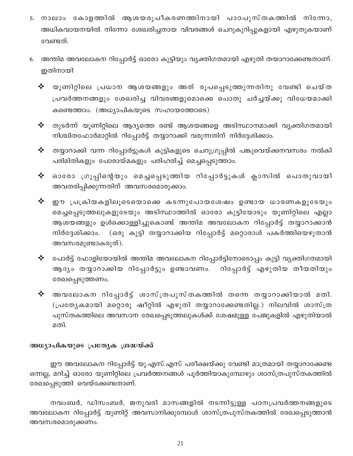- 5. നാലാം കോളത്തിൽ ആശയരൂപീകരണത്തിനായി പാഠപുസ്തകത്തിൽ നിന്നോ, അധികവായനയിൽ നിന്നോ ശേഖരിച്ചതായ വിവരങ്ങൾ ചെറുകുറിപ്പുകളായി എഴുതുകയാണ് വേണ്ടത്.
- അന്തിമ അവലോകന റിപ്പോർട്ട് ഓരോ കുട്ടിയും വ്യക്തിഗതമായി എഴുതി തയാറാക്കേണ്ടതാണ്. 6. ഇതിനായി
	- യൂണിറ്റിലെ പ്രധാന ആശയങ്ങളും അത് രൂപപ്പെടുത്തുന്നതിനു വേണ്ടി ചെയ്ത ❖ പ്രവർത്തനങ്ങളും ശേഖരിച്ച വിവരങ്ങളുമൊക്കെ പൊതു ചർച്ചയ്ക്കു വിധേയമാക്കി കണ്ടെത്താം. (അധ്യാപികയുടെ സഹായത്തോടെ)
	- തുടർന്ന് യൂണിറ്റിലെ ആദ്യത്തെ രണ്ട് ആശയങ്ങളെ അടിസ്ഥാനമാക്കി വ്യക്തിഗതമായി ✦ നിശ്ചിതഫോർമാറ്റിൽ റിപ്പോർട്ട് തയ്യാറാക്കി വരുന്നതിന് നിർദ്ദേശിക്കാം.
	- തയ്യാറാക്കി വന്ന റിപ്പോർട്ടുകൾ കുട്ടികളുടെ ചെറുഗ്രൂപ്പിൽ പങ്കുവെയ്ക്കനവസരം നൽകി ❖ പരിമിതികളും പോരായ്മകളും പരിഹരിച്ച് മെച്ചപ്പെടുത്താം.
	- ❖ ഓരോ ഗ്രൂപ്പിന്റെയും മെച്ചപ്പെടുത്തിയ റിപ്പോർട്ടുകൾ ക്ലാസിൽ പൊതുവായി അവതരിപ്പിക്കുന്നതിന് അവസരമൊരുക്കാം.
	- ✦ ഈ പ്രക്രിയകളിലൂടെയൊക്കെ കടന്നുപോയശേഷം ഉണ്ടായ ധാരണകളുടേയും മെച്ചപ്പെടുത്തലുകളുടേയും അടിസ്ഥാത്തിൽ ഓരോ കുട്ടിയോടും യൂണിറ്റിലെ എല്ലാ ആശയങ്ങളും ഉൾക്കൊള്ളിച്ചുകൊണ്ട് അന്തിമ അവലോകന റിപ്പോർട്ട് തയ്യാറാക്കാൻ (ഒരു കുട്ടി തയ്യാറാക്കിയ റിപ്പോർട്ട് മറ്റൊരാൾ പകർത്തിയെഴുതാൻ നിർദ്ദേശിക്കാം. അവസരമുണ്ടാകരുത്).
	- $\blacklozenge$  പോർട്ട് ഫോളിയോയിൽ അന്തിമ അവലോകന റിപ്പോർട്ടിനോടൊപ്പം കുട്ടി വ്യക്തിഗതമായി ആദ്യം തയ്യാറാക്കിയ റിപ്പോർട്ടും ഉണ്ടാവണം. റിപ്പോർട്ട് എഴുതിയ തീയതിയും രേഖപ്പെടുത്തണം.
	- ❖ അവലോകന റിപ്പോർട്ട് ശാസ്ത്രപുസ്തകത്തിൽ തന്നെ തയ്യാറാക്കിയാൽ മതി. (പ്രത്യേകമായി മറ്റൊരു ഷീറ്റിൽ എഴുതി തയ്യാറാക്കേണ്ടതില്ല.) നിലവിൽ ശാസ്ത്ര പുസ്തകത്തിലെ അവസാന രേഖപ്പെടുത്തലുകൾക്ക് ശേഷമുള്ള പേജുകളിൽ എഴുതിയാൽ മതി.

#### അധ്യാപികയുടെ പ്രത്യേക ശ്രദ്ധയ്ക്ക്

ഈ അവലോകന റിപ്പോർട്ട് യു.എസ്.എസ് പരീക്ഷയ്ക്കു വേണ്ടി മാത്രമായി തയ്യാറാക്കേണ്ട ഒന്നല്ല, മറിച്ച് ഓരോ യൂണിറ്റിലെ പ്രവർത്തനങ്ങൾ പൂർത്തിയാകുമ്പോഴും ശാസ്ത്രപുസ്തകത്തിൽ രേഖപ്പെടുത്തി വെയ്ക്കേണ്ടതാണ്.

നവംബർ, ഡിസംബർ, ജനുവരി മാസങ്ങളിൽ നടന്നിട്ടുള്ള പഠനപ്രവർത്തനങ്ങളുടെ അവലോകന റിപ്പോർട്ട് യൂണിറ്റ് അവസാനിക്കുമ്പോൾ ശാസ്ത്രപുസ്തകത്തിൽ രേഖപ്പെടുത്താൻ അവസരമൊരുക്കണം.